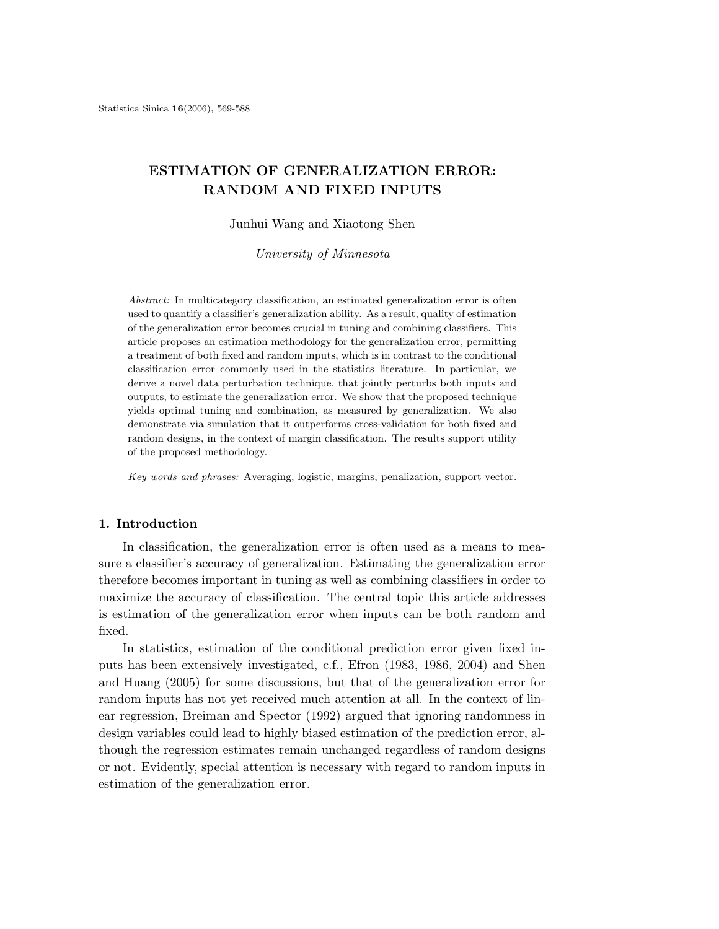# ESTIMATION OF GENERALIZATION ERROR: RANDOM AND FIXED INPUTS

#### Junhui Wang and Xiaotong Shen

University of Minnesota

Abstract: In multicategory classification, an estimated generalization error is often used to quantify a classifier's generalization ability. As a result, quality of estimation of the generalization error becomes crucial in tuning and combining classifiers. This article proposes an estimation methodology for the generalization error, permitting a treatment of both fixed and random inputs, which is in contrast to the conditional classification error commonly used in the statistics literature. In particular, we derive a novel data perturbation technique, that jointly perturbs both inputs and outputs, to estimate the generalization error. We show that the proposed technique yields optimal tuning and combination, as measured by generalization. We also demonstrate via simulation that it outperforms cross-validation for both fixed and random designs, in the context of margin classification. The results support utility of the proposed methodology.

Key words and phrases: Averaging, logistic, margins, penalization, support vector.

# 1. Introduction

In classification, the generalization error is often used as a means to measure a classifier's accuracy of generalization. Estimating the generalization error therefore becomes important in tuning as well as combining classifiers in order to maximize the accuracy of classification. The central topic this article addresses is estimation of the generalization error when inputs can be both random and fixed.

In statistics, estimation of the conditional prediction error given fixed inputs has been extensively investigated, c.f., Efron (1983, 1986, 2004) and Shen and Huang (2005) for some discussions, but that of the generalization error for random inputs has not yet received much attention at all. In the context of linear regression, Breiman and Spector (1992) argued that ignoring randomness in design variables could lead to highly biased estimation of the prediction error, although the regression estimates remain unchanged regardless of random designs or not. Evidently, special attention is necessary with regard to random inputs in estimation of the generalization error.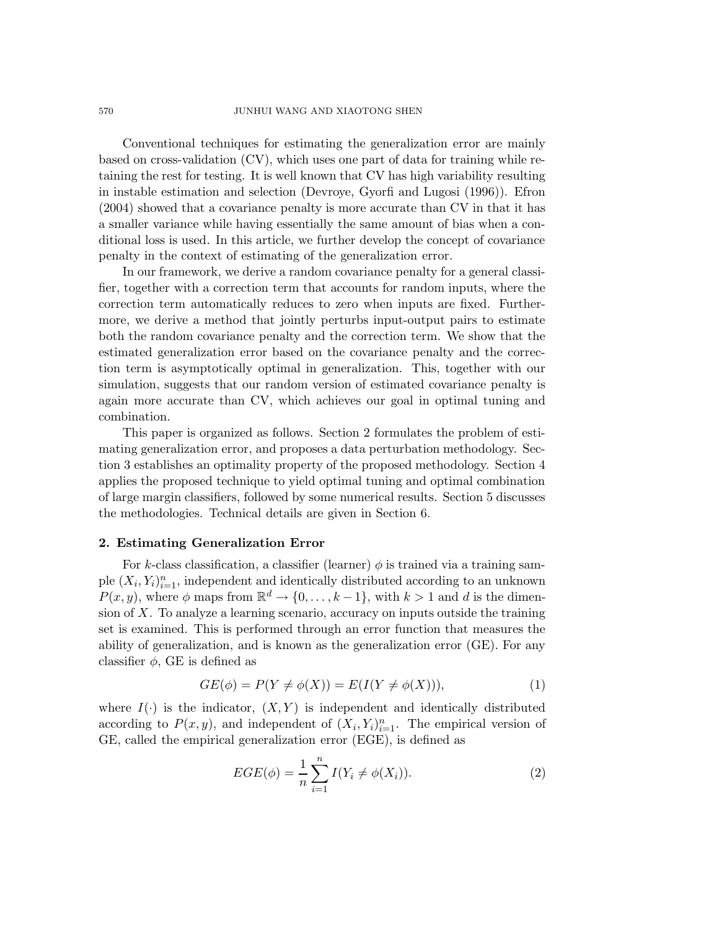Conventional techniques for estimating the generalization error are mainly based on cross-validation (CV), which uses one part of data for training while retaining the rest for testing. It is well known that CV has high variability resulting in instable estimation and selection (Devroye, Gyorfi and Lugosi (1996)). Efron (2004) showed that a covariance penalty is more accurate than CV in that it has a smaller variance while having essentially the same amount of bias when a conditional loss is used. In this article, we further develop the concept of covariance penalty in the context of estimating of the generalization error.

In our framework, we derive a random covariance penalty for a general classifier, together with a correction term that accounts for random inputs, where the correction term automatically reduces to zero when inputs are fixed. Furthermore, we derive a method that jointly perturbs input-output pairs to estimate both the random covariance penalty and the correction term. We show that the estimated generalization error based on the covariance penalty and the correction term is asymptotically optimal in generalization. This, together with our simulation, suggests that our random version of estimated covariance penalty is again more accurate than CV, which achieves our goal in optimal tuning and combination.

This paper is organized as follows. Section 2 formulates the problem of estimating generalization error, and proposes a data perturbation methodology. Section 3 establishes an optimality property of the proposed methodology. Section 4 applies the proposed technique to yield optimal tuning and optimal combination of large margin classifiers, followed by some numerical results. Section 5 discusses the methodologies. Technical details are given in Section 6.

# 2. Estimating Generalization Error

For k-class classification, a classifier (learner)  $\phi$  is trained via a training sample  $(X_i, Y_i)_{i=1}^n$ , independent and identically distributed according to an unknown  $P(x, y)$ , where  $\phi$  maps from  $\mathbb{R}^d \to \{0, \ldots, k-1\}$ , with  $k > 1$  and d is the dimension of  $X$ . To analyze a learning scenario, accuracy on inputs outside the training set is examined. This is performed through an error function that measures the ability of generalization, and is known as the generalization error (GE). For any classifier  $\phi$ , GE is defined as

$$
GE(\phi) = P(Y \neq \phi(X)) = E(I(Y \neq \phi(X))), \tag{1}
$$

where  $I(\cdot)$  is the indicator,  $(X, Y)$  is independent and identically distributed according to  $P(x, y)$ , and independent of  $(X_i, Y_i)_{i=1}^n$ . The empirical version of GE, called the empirical generalization error (EGE), is defined as

$$
EGE(\phi) = \frac{1}{n} \sum_{i=1}^{n} I(Y_i \neq \phi(X_i)).
$$
\n(2)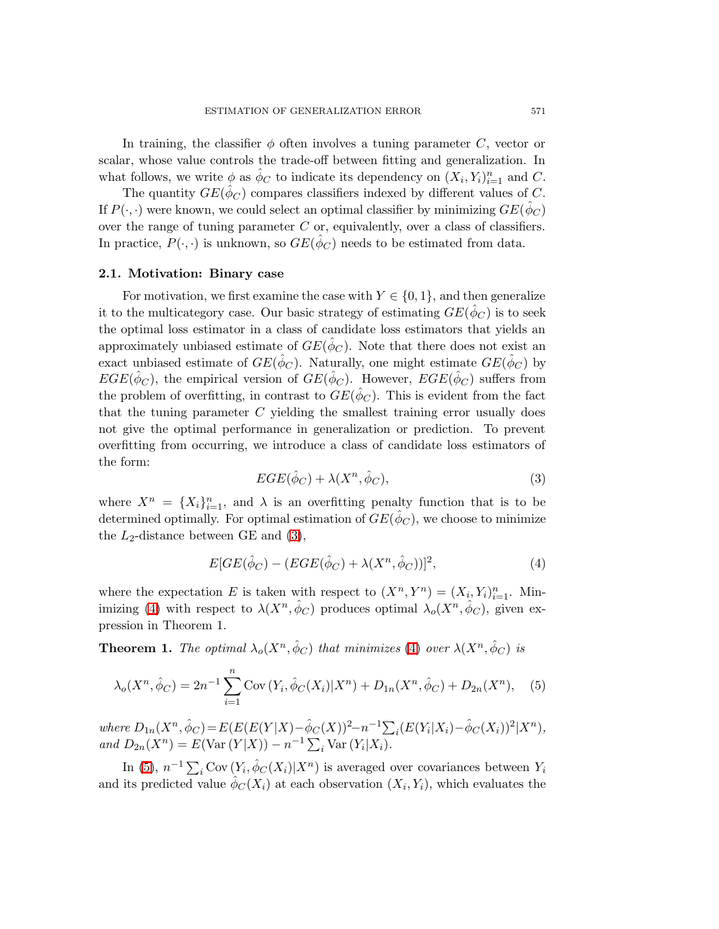In training, the classifier  $\phi$  often involves a tuning parameter C, vector or scalar, whose value controls the trade-off between fitting and generalization. In what follows, we write  $\phi$  as  $\hat{\phi}_C$  to indicate its dependency on  $(X_i, Y_i)_{i=1}^n$  and C.

The quantity  $GE(\hat{\phi}_C)$  compares classifiers indexed by different values of C. If  $P(\cdot, \cdot)$  were known, we could select an optimal classifier by minimizing  $GE(\hat{\phi}_C)$ over the range of tuning parameter  $C$  or, equivalently, over a class of classifiers. In practice,  $P(\cdot, \cdot)$  is unknown, so  $GE(\hat{\phi}_C)$  needs to be estimated from data.

## 2.1. Motivation: Binary case

For motivation, we first examine the case with  $Y \in \{0, 1\}$ , and then generalize it to the multicategory case. Our basic strategy of estimating  $GE(\hat{\phi}_C)$  is to seek the optimal loss estimator in a class of candidate loss estimators that yields an approximately unbiased estimate of  $GE(\hat{ \phi}_C)$ . Note that there does not exist an exact unbiased estimate of  $GE(\hat{\phi}_C)$ . Naturally, one might estimate  $GE(\hat{\phi}_C)$  by  $EGE(\hat{\phi}_C)$ , the empirical version of  $GE(\hat{\phi}_C)$ . However,  $EGE(\hat{\phi}_C)$  suffers from the problem of overfitting, in contrast to  $GE(\hat{ \phi}_C)$ . This is evident from the fact that the tuning parameter C yielding the smallest training error usually does not give the optimal performance in generalization or prediction. To prevent overfitting from occurring, we introduce a class of candidate loss estimators of the form:

<span id="page-2-2"></span>
$$
EGE(\hat{\phi}_C) + \lambda(X^n, \hat{\phi}_C),\tag{3}
$$

<span id="page-2-0"></span>where  $X^n = \{X_i\}_{i=1}^n$ , and  $\lambda$  is an overfitting penalty function that is to be determined optimally. For optimal estimation of  $GE(\hat{ \phi}_C)$ , we choose to minimize the  $L_2$ -distance between GE and  $(3)$ ,

<span id="page-2-1"></span>
$$
E[GE(\hat{\phi}_C) - (EGE(\hat{\phi}_C) + \lambda(X^n, \hat{\phi}_C))]^2, \tag{4}
$$

where the expectation E is taken with respect to  $(X^n, Y^n) = (X_i, Y_i)_{i=1}^n$ . Min-imizing [\(4\)](#page-2-1) with respect to  $\lambda(X^n, \hat{\phi}_C)$  produces optimal  $\lambda_o(X^n, \hat{\phi}_C)$ , given expression in Theorem 1.

**Theorem 1.** The optimal  $\lambda_o(X^n, \hat{\phi}_C)$  that minimizes [\(4\)](#page-2-1) over  $\lambda(X^n, \hat{\phi}_C)$  is

$$
\lambda_o(X^n, \hat{\phi}_C) = 2n^{-1} \sum_{i=1}^n \text{Cov}(Y_i, \hat{\phi}_C(X_i) | X^n) + D_{1n}(X^n, \hat{\phi}_C) + D_{2n}(X^n), \quad (5)
$$

where  $D_{1n}(X^n, \hat{\phi}_C) = E(E(E(Y|X) - \hat{\phi}_C(X))^2 - n^{-1} \sum_i (E(Y_i|X_i) - \hat{\phi}_C(X_i))^2 | X^n)$ , and  $D_{2n}(X^n) = E(\text{Var}(Y|X)) - n^{-1} \sum_i \text{Var}(Y_i|X_i)$ .

In [\(5\)](#page-2-2),  $n^{-1} \sum_i \text{Cov}(Y_i, \hat{\phi}_C(X_i)|X^n)$  is averaged over covariances between  $Y_i$ and its predicted value  $\hat{\phi}_C(X_i)$  at each observation  $(X_i, Y_i)$ , which evaluates the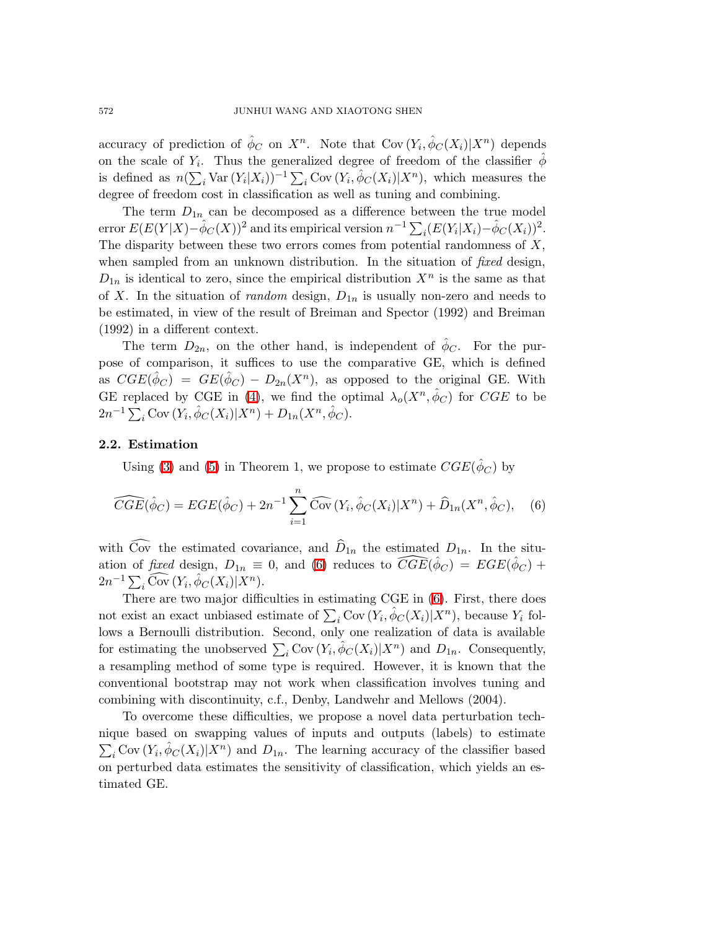accuracy of prediction of  $\hat{\phi}_C$  on  $X^n$ . Note that Cov $(Y_i, \hat{\phi}_C(X_i)|X^n)$  depends on the scale of  $Y_i$ . Thus the generalized degree of freedom of the classifier  $\hat{\phi}$ is defined as  $n(\sum_i \text{Var}(Y_i|X_i))^{-1} \sum_i \text{Cov}(Y_i, \hat{\phi}_C(X_i)|X^n)$ , which measures the degree of freedom cost in classification as well as tuning and combining.

The term  $D_{1n}$  can be decomposed as a difference between the true model error  $E(E(Y|X) - \hat{\phi}_C(X))^2$  and its empirical version  $n^{-1} \sum_i (E(Y_i|X_i) - \hat{\phi}_C(X_i))^2$ . The disparity between these two errors comes from potential randomness of  $X$ , when sampled from an unknown distribution. In the situation of *fixed* design,  $D_{1n}$  is identical to zero, since the empirical distribution  $X^n$  is the same as that of X. In the situation of *random* design,  $D_{1n}$  is usually non-zero and needs to be estimated, in view of the result of Breiman and Spector (1992) and Breiman (1992) in a different context.

The term  $D_{2n}$ , on the other hand, is independent of  $\hat{\phi}_C$ . For the purpose of comparison, it suffices to use the comparative GE, which is defined as  $CGE(\hat{\phi}_C) = GE(\hat{\phi}_C) - D_{2n}(X^n)$ , as opposed to the original GE. With GE replaced by CGE in [\(4\)](#page-2-1), we find the optimal  $\lambda_o(X^n, \hat{\phi}_C)$  for CGE to be  $2n^{-1} \sum_i \text{Cov}(Y_i, \hat{\phi}_C(X_i) | X^n) + D_{1n}(X^n, \hat{\phi}_C).$ 

# 2.2. Estimation

<span id="page-3-0"></span>Using [\(3\)](#page-2-0) and [\(5\)](#page-2-2) in Theorem 1, we propose to estimate  $CGE(\hat{\phi}_C)$  by

$$
\widehat{CGE}(\hat{\phi}_C) = EGE(\hat{\phi}_C) + 2n^{-1} \sum_{i=1}^n \widehat{\text{Cov}}(Y_i, \hat{\phi}_C(X_i) | X^n) + \widehat{D}_{1n}(X^n, \hat{\phi}_C), \quad (6)
$$

with Cov the estimated covariance, and  $D_{1n}$  the estimated  $D_{1n}$ . In the situation of fixed design,  $D_{1n} \equiv 0$ , and [\(6\)](#page-3-0) reduces to  $\widehat{CGE}(\hat{\phi}_C) = EGE(\hat{\phi}_C) +$  $2n^{-1}\sum_i \widehat{\text{Cov}}(Y_i, \hat{\phi}_C(X_i)|X^n).$ 

There are two major difficulties in estimating CGE in [\(6\)](#page-3-0). First, there does not exist an exact unbiased estimate of  $\sum_i \text{Cov}(Y_i, \hat{\phi}_C(X_i)|X^n)$ , because  $Y_i$  follows a Bernoulli distribution. Second, only one realization of data is available for estimating the unobserved  $\sum_i \text{Cov}(Y_i, \hat{\phi}_C(X_i)|X^n)$  and  $D_{1n}$ . Consequently, a resampling method of some type is required. However, it is known that the conventional bootstrap may not work when classification involves tuning and combining with discontinuity, c.f., Denby, Landwehr and Mellows (2004).

To overcome these difficulties, we propose a novel data perturbation technique based on swapping values of inputs and outputs (labels) to estimate  $\sum_i$ Cov  $(Y_i, \hat{\phi}_C(X_i)|X^n)$  and  $D_{1n}$ . The learning accuracy of the classifier based on perturbed data estimates the sensitivity of classification, which yields an estimated GE.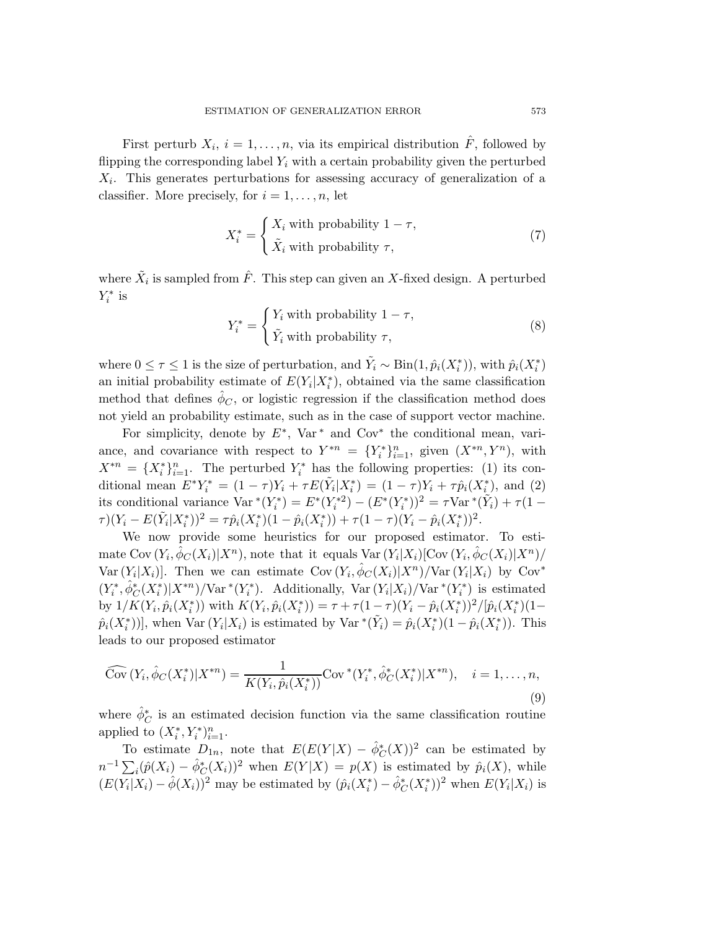First perturb  $X_i$ ,  $i = 1, \ldots, n$ , via its empirical distribution  $\hat{F}$ , followed by flipping the corresponding label  $Y_i$  with a certain probability given the perturbed  $X_i$ . This generates perturbations for assessing accuracy of generalization of a classifier. More precisely, for  $i = 1, \ldots, n$ , let

<span id="page-4-1"></span>
$$
X_i^* = \begin{cases} X_i \text{ with probability } 1 - \tau, \\ \tilde{X}_i \text{ with probability } \tau, \end{cases}
$$
 (7)

<span id="page-4-2"></span>where  $\tilde{X}_i$  is sampled from  $\hat{F}$ . This step can given an X-fixed design. A perturbed  $Y_i^*$  is

$$
Y_i^* = \begin{cases} Y_i \text{ with probability } 1 - \tau, \\ \tilde{Y}_i \text{ with probability } \tau, \end{cases}
$$
 (8)

where  $0 \leq \tau \leq 1$  is the size of perturbation, and  $\tilde{Y}_i \sim Bin(1, \hat{p}_i(X_i^*)),$  with  $\hat{p}_i(X_i^*)$ an initial probability estimate of  $E(Y_i|X_i^*)$ , obtained via the same classification method that defines  $\hat{\phi}_C$ , or logistic regression if the classification method does not yield an probability estimate, such as in the case of support vector machine.

For simplicity, denote by  $E^*$ , Var<sup>\*</sup> and Cov<sup>\*</sup> the conditional mean, variance, and covariance with respect to  $Y^{*n} = \{Y_i^*\}_{i=1}^n$ , given  $(X^{*n}, Y^n)$ , with  $X^{*n} = \{X_i^*\}_{i=1}^n$ . The perturbed  $Y_i^*$  has the following properties: (1) its conditional mean  $E^*Y_i^* = (1 - \tau)Y_i + \tau E(\tilde{Y}_i | X_i^*) = (1 - \tau)Y_i + \tau \hat{p}_i(X_i^*)$ , and (2) its conditional variance  $Var^*(Y_i^*) = E^*(Y_i^{*2}) - (E^*(Y_i^*))^2 = \tau Var^*(\tilde{Y}_i) + \tau(1 \tau$ ) $(Y_i - E(\tilde{Y}_i | X_i^*))^2 = \tau \hat{p}_i(X_i^*)(1 - \hat{p}_i(X_i^*)) + \tau (1 - \tau)(Y_i - \hat{p}_i(X_i^*))^2$ .

We now provide some heuristics for our proposed estimator. To estimate Cov  $(Y_i, \hat{\phi}_C(X_i)|X^n)$ , note that it equals Var  $(Y_i|X_i)[\text{Cov}(Y_i, \hat{\phi}_C(X_i)|X^n)/$ Var  $(Y_i|X_i)$ . Then we can estimate  $Cov(Y_i, \hat{\phi}_C(X_i)|X^n)/Var(Y_i|X_i)$  by  $Cov^*$  $(Y_i^*, \hat{\phi}_C^*(X_i^*)|X^{*n})/\text{Var}^*(Y_i^*)$ . Additionally,  $\text{Var}(Y_i|X_i)/\text{Var}^*(Y_i^*)$  is estimated by  $1/K(Y_i, \hat{p}_i(X_i^*))$  with  $K(Y_i, \hat{p}_i(X_i^*)) = \tau + \tau(1-\tau)(Y_i - \hat{p}_i(X_i^*))^2/[\hat{p}_i(X_i^*)(1-\tau)]$  $\hat{p}_i(X_i^*)$ , when Var  $(Y_i|X_i)$  is estimated by Var  ${}^*(\tilde{Y}_i) = \hat{p}_i(X_i^*)(1 - \hat{p}_i(X_i^*))$ . This leads to our proposed estimator

<span id="page-4-0"></span>
$$
\widehat{\text{Cov}}\left(Y_i, \hat{\phi}_C(X_i^*) | X^{*n}\right) = \frac{1}{K(Y_i, \hat{p}_i(X_i^*))} \text{Cov}^*(Y_i^*, \hat{\phi}_C^*(X_i^*) | X^{*n}), \quad i = 1, \dots, n,
$$
\n(9)

where  $\hat{\phi}_C^*$  is an estimated decision function via the same classification routine applied to  $(X_i^*, Y_i^*)_{i=1}^n$ .

To estimate  $D_{1n}$ , note that  $E(E(Y|X) - \hat{\phi}_C^*(X))^2$  can be estimated by  $n^{-1} \sum_i (\hat{p}(X_i) - \hat{\phi}_C^*(X_i))^2$  when  $E(Y|X) = p(X)$  is estimated by  $\hat{p}_i(X)$ , while  $(E(Y_i|X_i) - \hat{\phi}(X_i))^2$  may be estimated by  $(\hat{p}_i(X_i^*) - \hat{\phi}_C^*(X_i^*))^2$  when  $E(Y_i|X_i)$  is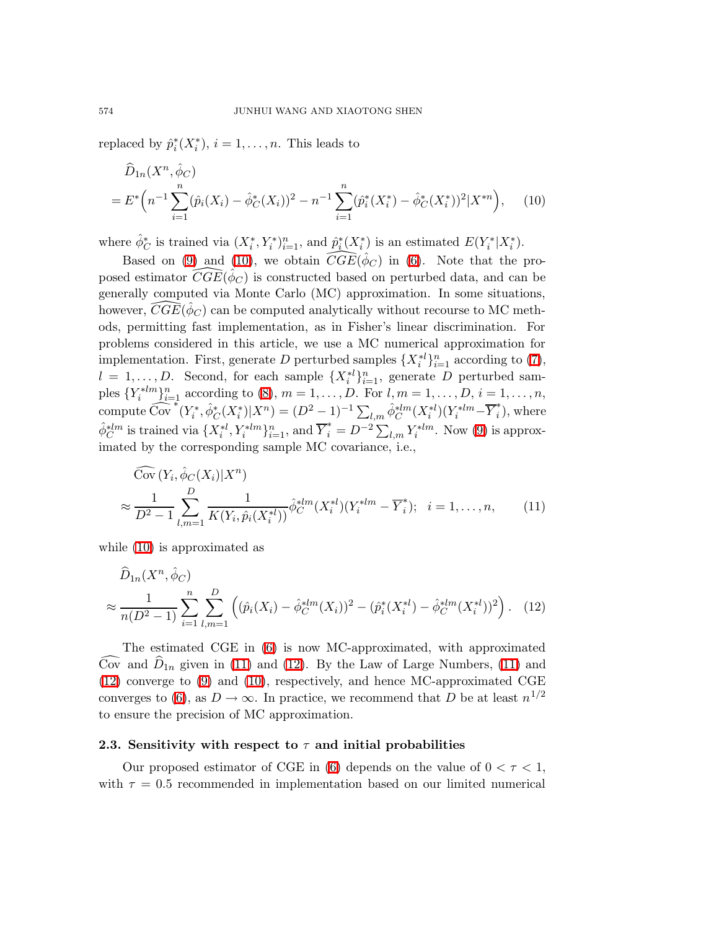<span id="page-5-0"></span>replaced by  $\hat{p}_i^*(X_i^*), i = 1, \ldots, n$ . This leads to

$$
\widehat{D}_{1n}(X^n, \widehat{\phi}_C) = E^* \left( n^{-1} \sum_{i=1}^n (\widehat{p}_i(X_i) - \widehat{\phi}_C^*(X_i))^2 - n^{-1} \sum_{i=1}^n (\widehat{p}_i^*(X_i^*) - \widehat{\phi}_C^*(X_i^*))^2 | X^{*n} \right), \tag{10}
$$

where  $\hat{\phi}_C^*$  is trained via  $(X_i^*, Y_i^*)_{i=1}^n$ , and  $\hat{p}_i^*(X_i^*)$  is an estimated  $E(Y_i^*|X_i^*)$ .

Based on [\(9\)](#page-4-0) and [\(10\)](#page-5-0), we obtain  $\widehat{CGE}(\hat{\phi}_C)$  in [\(6\)](#page-3-0). Note that the proposed estimator  $\widehat{CGE}(\hat{\phi}_C)$  is constructed based on perturbed data, and can be generally computed via Monte Carlo (MC) approximation. In some situations, however,  $\widehat{CGE}(\hat{\phi}_C)$  can be computed analytically without recourse to MC methods, permitting fast implementation, as in Fisher's linear discrimination. For problems considered in this article, we use a MC numerical approximation for implementation. First, generate D perturbed samples  $\{X_i^*\}_{i=1}^n$  according to [\(7\)](#page-4-1),  $l = 1, \ldots, D$ . Second, for each sample  $\{X_i^{*l}\}_{i=1}^n$ , generate D perturbed samples  $\{Y_i^{*lm}\}_{i=1}^n$  according to [\(8\)](#page-4-2),  $m = 1, ..., D$ . For  $l, m = 1, ..., D$ ,  $i = 1, ..., n$ , compute  $\widehat{\mathrm{Cov}}^*(Y_i^*, \hat{\phi}_C^*(X_i^*) | X^n) = (D^2 - 1)^{-1} \sum_{l,m} \hat{\phi}_C^{*lm}(X_i^{*l}) (Y_i^{*lm} - \overline{Y}_i^*)$  $\hat{i}$ , where  $\hat{\phi}_C^{*lm}$  is trained via  $\{X_i^{*l}, Y_i^{*lm}\}_{i=1}^n$ , and  $\overline{Y}_i^* = D^{-2} \sum_{l,m} Y_i^{*lm}$ . Now [\(9\)](#page-4-0) is approximated by the corresponding sample MC covariance, i.e.,

<span id="page-5-1"></span>
$$
\widehat{\text{Cov}}(Y_i, \hat{\phi}_C(X_i)|X^n) \n\approx \frac{1}{D^2 - 1} \sum_{l,m=1}^D \frac{1}{K(Y_i, \hat{p}_i(X_i^{*l}))} \hat{\phi}_C^{*lm}(X_i^{*l}) (Y_i^{*lm} - \overline{Y}_i^*); \quad i = 1, ..., n, \quad (11)
$$

<span id="page-5-2"></span>while [\(10\)](#page-5-0) is approximated as

$$
\hat{D}_{1n}(X^n, \hat{\phi}_C) \approx \frac{1}{n(D^2 - 1)} \sum_{i=1}^n \sum_{l,m=1}^D \left( (\hat{p}_i(X_i) - \hat{\phi}_C^{*lm}(X_i))^2 - (\hat{p}_i^*(X_i^{*l}) - \hat{\phi}_C^{*lm}(X_i^{*l}))^2 \right). \tag{12}
$$

The estimated CGE in [\(6\)](#page-3-0) is now MC-approximated, with approximated  $\overline{\text{Cov}}$  and  $\overline{\text{D}}_{1n}$  given in [\(11\)](#page-5-1) and [\(12\)](#page-5-2). By the Law of Large Numbers, (11) and [\(12\)](#page-5-2) converge to [\(9\)](#page-4-0) and [\(10\)](#page-5-0), respectively, and hence MC-approximated CGE converges to [\(6\)](#page-3-0), as  $D \to \infty$ . In practice, we recommend that D be at least  $n^{1/2}$ to ensure the precision of MC approximation.

#### 2.3. Sensitivity with respect to  $\tau$  and initial probabilities

Our proposed estimator of CGE in [\(6\)](#page-3-0) depends on the value of  $0 < \tau < 1$ , with  $\tau = 0.5$  recommended in implementation based on our limited numerical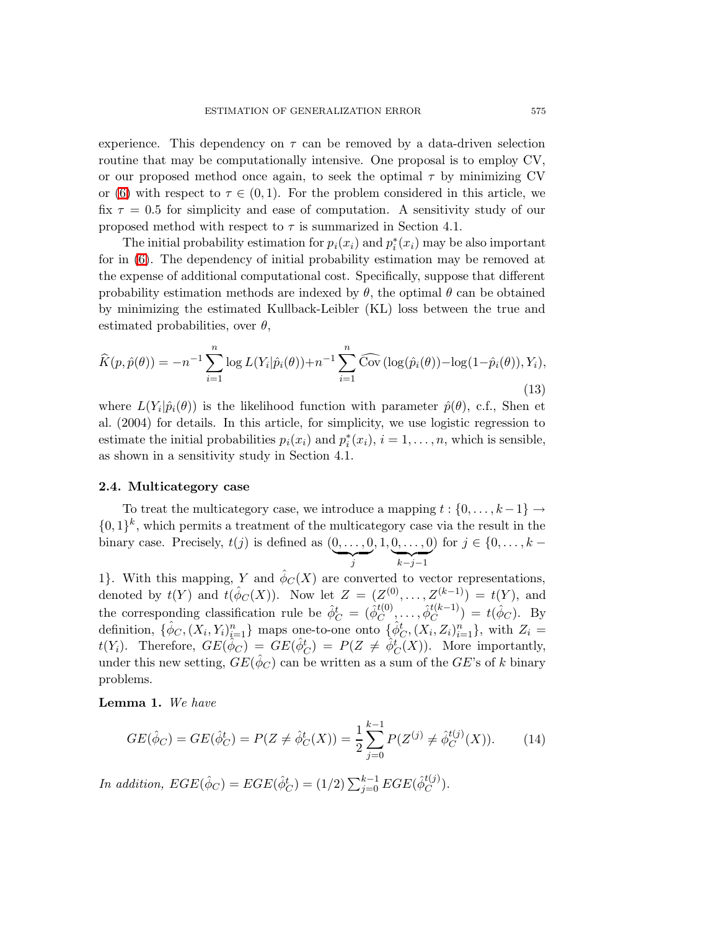experience. This dependency on  $\tau$  can be removed by a data-driven selection routine that may be computationally intensive. One proposal is to employ CV, or our proposed method once again, to seek the optimal  $\tau$  by minimizing CV or [\(6\)](#page-3-0) with respect to  $\tau \in (0,1)$ . For the problem considered in this article, we fix  $\tau = 0.5$  for simplicity and ease of computation. A sensitivity study of our proposed method with respect to  $\tau$  is summarized in Section 4.1.

The initial probability estimation for  $p_i(x_i)$  and  $p_i^*(x_i)$  may be also important for in [\(6\)](#page-3-0). The dependency of initial probability estimation may be removed at the expense of additional computational cost. Specifically, suppose that different probability estimation methods are indexed by  $\theta$ , the optimal  $\theta$  can be obtained by minimizing the estimated Kullback-Leibler (KL) loss between the true and estimated probabilities, over  $\theta$ ,

<span id="page-6-1"></span>
$$
\widehat{K}(p,\hat{p}(\theta)) = -n^{-1} \sum_{i=1}^{n} \log L(Y_i|\hat{p}_i(\theta)) + n^{-1} \sum_{i=1}^{n} \widehat{\text{Cov}}\left(\log(\hat{p}_i(\theta)) - \log(1-\hat{p}_i(\theta)), Y_i\right),\tag{13}
$$

where  $L(Y_i|\hat{p}_i(\theta))$  is the likelihood function with parameter  $\hat{p}(\theta)$ , c.f., Shen et al. (2004) for details. In this article, for simplicity, we use logistic regression to estimate the initial probabilities  $p_i(x_i)$  and  $p_i^*(x_i)$ ,  $i = 1, \ldots, n$ , which is sensible, as shown in a sensitivity study in Section 4.1.

## 2.4. Multicategory case

To treat the multicategory case, we introduce a mapping  $t : \{0, \ldots, k-1\} \rightarrow$  $\{0,1\}^k$ , which permits a treatment of the multicategory case via the result in the binary case. Precisely,  $t(j)$  is defined as  $(0, \ldots, 0)$  $\overline{y}$  $, 1, 0, \ldots, 0$  $\overbrace{k-j-1}$ ) for  $j \in \{0, ..., k -$ 

1}. With this mapping, Y and  $\hat{\phi}_C(X)$  are converted to vector representations, denoted by  $t(Y)$  and  $t(\hat{\phi}_C(X))$ . Now let  $Z = (Z^{(0)}, \ldots, Z^{(k-1)}) = t(Y)$ , and the corresponding classification rule be  $\hat{\phi}_C^t = (\hat{\phi}_C^{t(0)})$  $\overset{t(0)}{C},\ldots,\overset{\sim}{\phi}{}^{t(k-1)}_C$  $\binom{t(k-1)}{C} = t(\hat{\phi}_C)$ . By definition,  $\{\hat{\phi}_C, (X_i, Y_i)_{i=1}^n\}$  maps one-to-one onto  $\{\hat{\phi}_C^t, (X_i, Z_i)_{i=1}^n\}$ , with  $Z_i =$  $t(Y_i)$ . Therefore,  $GE(\hat{\phi}_C) = GE(\hat{\phi}_C^t) = P(Z \neq \hat{\phi}_C^t(X))$ . More importantly, under this new setting,  $GE(\hat{\phi}_C)$  can be written as a sum of the  $GE$ 's of k binary problems.

<span id="page-6-0"></span>Lemma 1. We have

$$
GE(\hat{\phi}_C) = GE(\hat{\phi}_C^t) = P(Z \neq \hat{\phi}_C^t(X)) = \frac{1}{2} \sum_{j=0}^{k-1} P(Z^{(j)} \neq \hat{\phi}_C^{t(j)}(X)). \tag{14}
$$

In addition,  $EGE(\hat{\phi}_C) = EGE(\hat{\phi}_C^t) = (1/2) \sum_{j=0}^{k-1} EGE(\hat{\phi}_C^{t(j)})$  $\mathcal{C}^{(J)}$ ).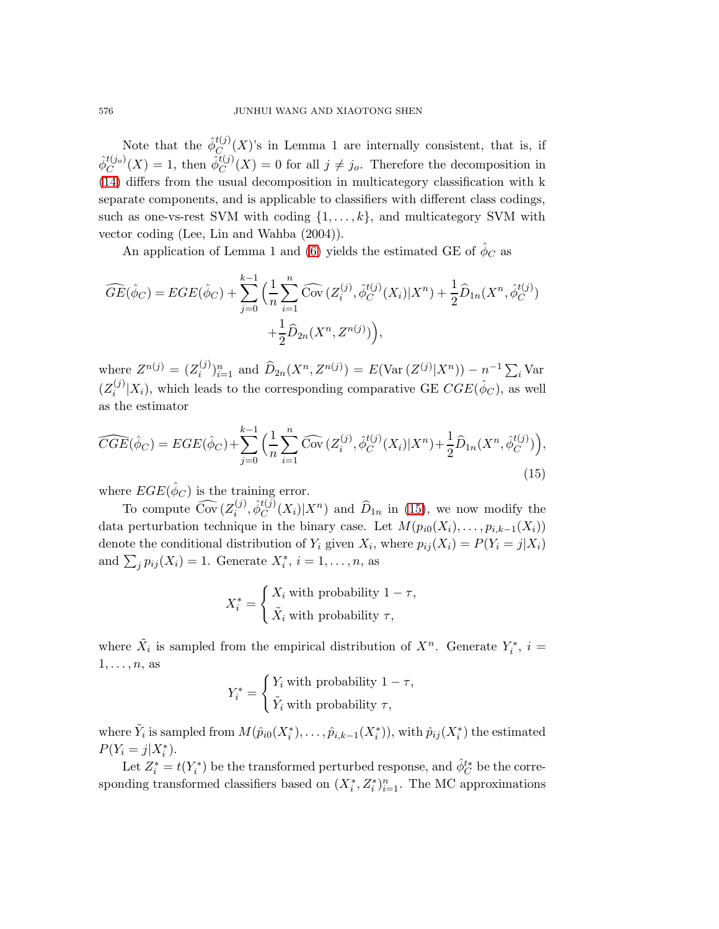Note that the  $\hat{\phi}_C^{t(j)}$  $C_{\text{C}_{\text{C}_{\text{C}}}}(X)$ 's in Lemma 1 are internally consistent, that is, if  $\hat{\phi}_{C}^{t(j_o)}$  $\mathcal{L}_C^{t(j_o)}(X) = 1$ , then  $\hat{\phi}_C^{t(j)}$  $C^{(j)}(X) = 0$  for all  $j \neq j_o$ . Therefore the decomposition in [\(14\)](#page-6-0) differs from the usual decomposition in multicategory classification with k separate components, and is applicable to classifiers with different class codings, such as one-vs-rest SVM with coding  $\{1, \ldots, k\}$ , and multicategory SVM with vector coding (Lee, Lin and Wahba (2004)).

An application of Lemma 1 and [\(6\)](#page-3-0) yields the estimated GE of  $\hat{\phi}_C$  as

$$
\widehat{GE}(\hat{\phi}_C) = EGE(\hat{\phi}_C) + \sum_{j=0}^{k-1} \Big( \frac{1}{n} \sum_{i=1}^n \widehat{Cov} \big( Z_i^{(j)}, \hat{\phi}_C^{t(j)}(X_i) | X^n \big) + \frac{1}{2} \widehat{D}_{1n}(X^n, \hat{\phi}_C^{t(j)}) + \frac{1}{2} \widehat{D}_{2n}(X^n, Z^{n(j)}) \Big),
$$

<span id="page-7-0"></span>where  $Z^{n(j)} = (Z_i^{(j)})$  $\hat{D}_{2n}(X^n, Z^{n(j)}) = E(\text{Var}(Z^{(j)}|X^n)) - n^{-1} \sum_i \text{Var}(Z^{(j)}|X^n)$  $(Z_i^{(j)}$  $\hat{X}_i^{(j)}|X_i$ , which leads to the corresponding comparative GE  $CGE(\hat{\phi}_C)$ , as well as the estimator

$$
\widehat{CGE}(\hat{\phi}_C) = EGE(\hat{\phi}_C) + \sum_{j=0}^{k-1} \Big( \frac{1}{n} \sum_{i=1}^n \widehat{\text{Cov}} \, (Z_i^{(j)}, \hat{\phi}_C^{t(j)}(X_i) | X^n) + \frac{1}{2} \widehat{D}_{1n}(X^n, \hat{\phi}_C^{t(j)}) \Big),\tag{15}
$$

where  $EGE(\hat{\phi}_C)$  is the training error.

To compute  $\widehat{\text{Cov}}$   $(Z_i^{(j)})$  $\hat{\phi}^{t(j)}_C, \hat{\phi}^{t(j)}_C$  $\hat{U}_C^{(j)}(X_i)|X^n)$  and  $\hat{D}_{1n}$  in [\(15\)](#page-7-0), we now modify the data perturbation technique in the binary case. Let  $M(p_{i0}(X_i), \ldots, p_{i,k-1}(X_i))$ denote the conditional distribution of  $Y_i$  given  $X_i$ , where  $p_{ij}(X_i) = P(Y_i = j | X_i)$ and  $\sum_j p_{ij}(X_i) = 1$ . Generate  $X_i^*, i = 1, \ldots, n$ , as

$$
X_i^* = \begin{cases} X_i \text{ with probability } 1 - \tau, \\ \tilde{X}_i \text{ with probability } \tau, \end{cases}
$$

where  $\tilde{X}_i$  is sampled from the empirical distribution of  $X^n$ . Generate  $Y_i^*$ ,  $i =$  $1, \ldots, n$ , as

$$
Y_i^* = \begin{cases} Y_i \text{ with probability } 1 - \tau, \\ \tilde{Y}_i \text{ with probability } \tau, \end{cases}
$$

where  $\tilde{Y}_i$  is sampled from  $M(\hat{p}_{i0}(X_i^*), \ldots, \hat{p}_{i,k-1}(X_i^*)),$  with  $\hat{p}_{ij}(X_i^*)$  the estimated  $P(Y_i = j | X_i^*).$ 

Let  $Z_i^* = t(Y_i^*)$  be the transformed perturbed response, and  $\hat{\phi}_C^{t*}$  be the corresponding transformed classifiers based on  $(X_i^*, Z_i^*)_{i=1}^n$ . The MC approximations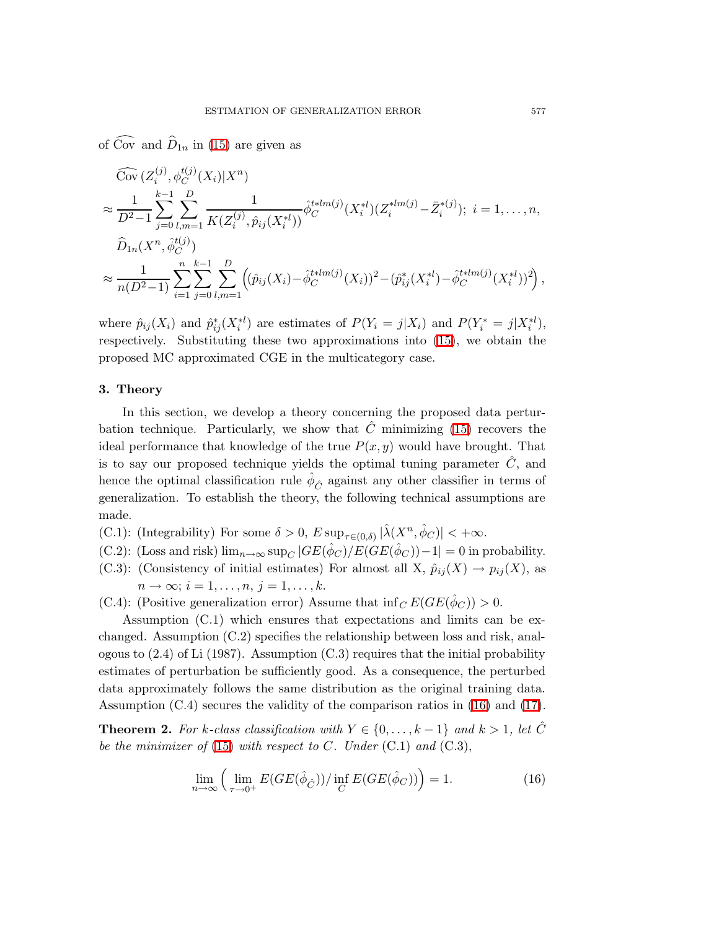of  $\widehat{\text{Cov}}$  and  $\widehat{D}_{1n}$  in [\(15\)](#page-7-0) are given as

$$
\begin{split}\n&\overrightarrow{\text{Cov}}\left(Z_i^{(j)}, \phi_C^{t(j)}(X_i)|X^n\right) \\
&\approx \frac{1}{D^2-1} \sum_{j=0}^{k-1} \sum_{l,m=1}^D \frac{1}{K(Z_i^{(j)}, \hat{p}_{ij}(X_i^{*l}))} \hat{\phi}_C^{t*lm(j)}(X_i^{*l})(Z_i^{*lm(j)} - \bar{Z}_i^{*(j)}); \ i = 1, \dots, n, \\
&\widehat{D}_{1n}(X^n, \hat{\phi}_C^{t(j)}) \\
&\approx \frac{1}{n(D^2-1)} \sum_{i=1}^n \sum_{j=0}^{k-1} \sum_{l,m=1}^D \left((\hat{p}_{ij}(X_i) - \hat{\phi}_C^{t*lm(j)}(X_i))^2 - (\hat{p}_{ij}^*(X_i^{*l}) - \hat{\phi}_C^{t*lm(j)}(X_i^{*l}))^2\right),\n\end{split}
$$

where  $\hat{p}_{ij}(X_i)$  and  $\hat{p}_{ij}^*(X_i^{*l})$  are estimates of  $P(Y_i = j | X_i)$  and  $P(Y_i^* = j | X_i^{*l})$ , respectively. Substituting these two approximations into [\(15\)](#page-7-0), we obtain the proposed MC approximated CGE in the multicategory case.

## 3. Theory

In this section, we develop a theory concerning the proposed data perturbation technique. Particularly, we show that  $\hat{C}$  minimizing [\(15\)](#page-7-0) recovers the ideal performance that knowledge of the true  $P(x, y)$  would have brought. That is to say our proposed technique yields the optimal tuning parameter  $\hat{C}$ , and hence the optimal classification rule  $\hat{\phi}_{\hat{C}}$  against any other classifier in terms of generalization. To establish the theory, the following technical assumptions are made.

- (C.1): (Integrability) For some  $\delta > 0$ ,  $E \sup_{\tau \in (0,\delta)} |\hat{\lambda}(X^n, \hat{\phi}_C)| < +\infty$ .
- (C.2): (Loss and risk)  $\lim_{n\to\infty} \sup_C |GE(\hat{\phi}_C)/E(GE(\hat{\phi}_C)) 1| = 0$  in probability.
- (C.3): (Consistency of initial estimates) For almost all X,  $\hat{p}_{ij}(X) \to p_{ij}(X)$ , as  $n \to \infty$ ;  $i = 1, \ldots, n, j = 1, \ldots, k$ .
- (C.4): (Positive generalization error) Assume that  $\inf_C E(GE(\hat{\phi}_C)) > 0$ .

Assumption (C.1) which ensures that expectations and limits can be exchanged. Assumption (C.2) specifies the relationship between loss and risk, analogous to  $(2.4)$  of Li  $(1987)$ . Assumption  $(C.3)$  requires that the initial probability estimates of perturbation be sufficiently good. As a consequence, the perturbed data approximately follows the same distribution as the original training data. Assumption (C.4) secures the validity of the comparison ratios in [\(16\)](#page-8-0) and [\(17\)](#page-9-0).

**Theorem 2.** For k-class classification with  $Y \in \{0, \ldots, k-1\}$  and  $k > 1$ , let  $\hat{C}$ be the minimizer of [\(15\)](#page-7-0) with respect to C. Under  $(C.1)$  and  $(C.3)$ ,

<span id="page-8-0"></span>
$$
\lim_{n \to \infty} \left( \lim_{\tau \to 0^+} E(GE(\hat{\phi}_{\hat{C}})) / \inf_C E(GE(\hat{\phi}_C)) \right) = 1.
$$
 (16)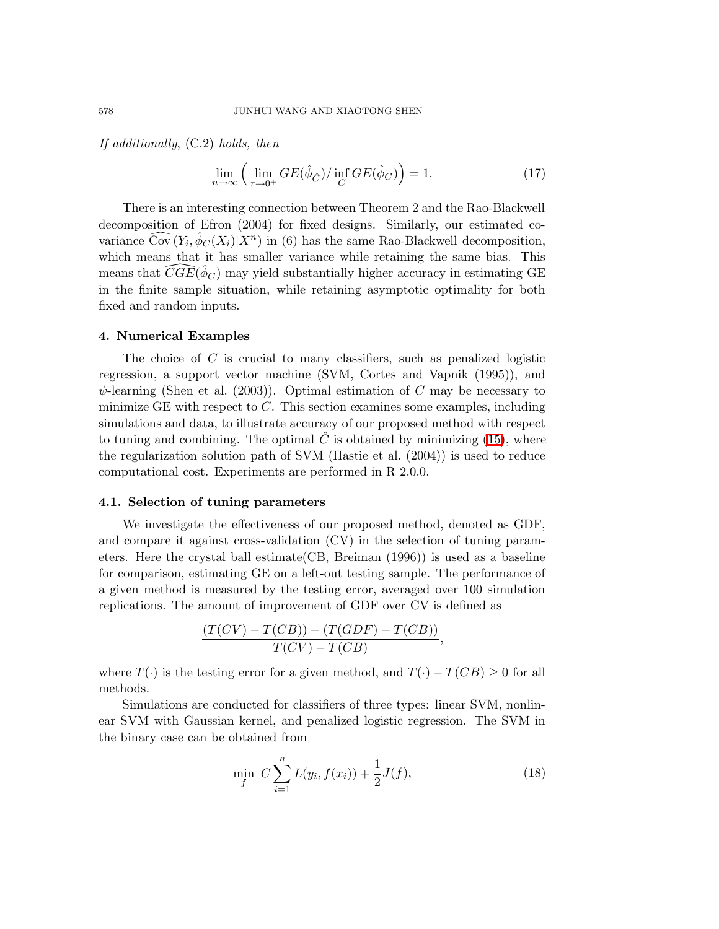If additionally,  $(C.2)$  holds, then

<span id="page-9-0"></span>
$$
\lim_{n \to \infty} \left( \lim_{\tau \to 0^+} GE(\hat{\phi}_{\hat{C}}) / \inf_{C} GE(\hat{\phi}_{C}) \right) = 1.
$$
 (17)

There is an interesting connection between Theorem 2 and the Rao-Blackwell decomposition of Efron (2004) for fixed designs. Similarly, our estimated covariance  $\widehat{\text{Cov}}(Y_i, \hat{\phi}_C(X_i)|X^n)$  in (6) has the same Rao-Blackwell decomposition, which means that it has smaller variance while retaining the same bias. This means that  $\widehat{CGE}(\hat{\phi}_C)$  may yield substantially higher accuracy in estimating GE in the finite sample situation, while retaining asymptotic optimality for both fixed and random inputs.

### 4. Numerical Examples

The choice of  $C$  is crucial to many classifiers, such as penalized logistic regression, a support vector machine (SVM, Cortes and Vapnik (1995)), and  $\psi$ -learning (Shen et al. (2003)). Optimal estimation of C may be necessary to minimize GE with respect to  $C$ . This section examines some examples, including simulations and data, to illustrate accuracy of our proposed method with respect to tuning and combining. The optimal  $\hat{C}$  is obtained by minimizing [\(15\)](#page-7-0), where the regularization solution path of SVM (Hastie et al. (2004)) is used to reduce computational cost. Experiments are performed in R 2.0.0.

## 4.1. Selection of tuning parameters

We investigate the effectiveness of our proposed method, denoted as GDF, and compare it against cross-validation (CV) in the selection of tuning parameters. Here the crystal ball estimate(CB, Breiman (1996)) is used as a baseline for comparison, estimating GE on a left-out testing sample. The performance of a given method is measured by the testing error, averaged over 100 simulation replications. The amount of improvement of GDF over CV is defined as

$$
\frac{(T(CV) - T(CB)) - (T(GDF) - T(CB))}{T(CV) - T(CB)},
$$

where  $T(\cdot)$  is the testing error for a given method, and  $T(\cdot) - T(CB) \geq 0$  for all methods.

Simulations are conducted for classifiers of three types: linear SVM, nonlinear SVM with Gaussian kernel, and penalized logistic regression. The SVM in the binary case can be obtained from

<span id="page-9-1"></span>
$$
\min_{f} \ C \sum_{i=1}^{n} L(y_i, f(x_i)) + \frac{1}{2} J(f), \tag{18}
$$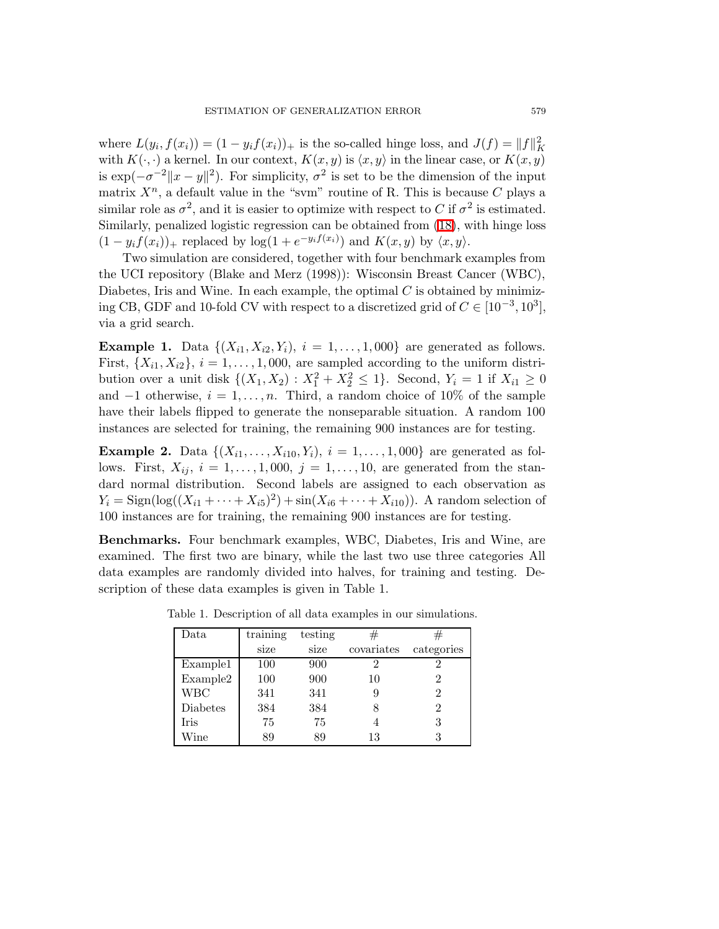where  $L(y_i, f(x_i)) = (1 - y_i f(x_i))_+$  is the so-called hinge loss, and  $J(f) = ||f||_K^2$ with  $K(\cdot, \cdot)$  a kernel. In our context,  $K(x, y)$  is  $\langle x, y \rangle$  in the linear case, or  $K(x, y)$ is  $\exp(-\sigma^{-2}||x-y||^2)$ . For simplicity,  $\sigma^2$  is set to be the dimension of the input matrix  $X^n$ , a default value in the "svm" routine of R. This is because C plays a similar role as  $\sigma^2$ , and it is easier to optimize with respect to C if  $\sigma^2$  is estimated. Similarly, penalized logistic regression can be obtained from [\(18\)](#page-9-1), with hinge loss  $(1 - y_i f(x_i))_+$  replaced by  $\log(1 + e^{-y_i f(x_i)})$  and  $K(x, y)$  by  $\langle x, y \rangle$ .

Two simulation are considered, together with four benchmark examples from the UCI repository (Blake and Merz (1998)): Wisconsin Breast Cancer (WBC), Diabetes, Iris and Wine. In each example, the optimal  $C$  is obtained by minimizing CB, GDF and 10-fold CV with respect to a discretized grid of  $C \in [10^{-3}, 10^3]$ , via a grid search.

**Example 1.** Data  $\{(X_{i1}, X_{i2}, Y_i), i = 1, \ldots, 1,000\}$  are generated as follows. First,  $\{X_{i1}, X_{i2}\}, i = 1, \ldots, 1,000$ , are sampled according to the uniform distribution over a unit disk  $\{(X_1, X_2) : X_1^2 + X_2^2 \le 1\}$ . Second,  $Y_i = 1$  if  $X_{i1} \ge 0$ and  $-1$  otherwise,  $i = 1, ..., n$ . Third, a random choice of 10% of the sample have their labels flipped to generate the nonseparable situation. A random 100 instances are selected for training, the remaining 900 instances are for testing.

**Example 2.** Data  $\{(X_{i1},...,X_{i10},Y_i), i = 1,...,1,000\}$  are generated as follows. First,  $X_{ij}$ ,  $i = 1, \ldots, 1,000$ ,  $j = 1, \ldots, 10$ , are generated from the standard normal distribution. Second labels are assigned to each observation as  $Y_i = \text{Sign}(\log((X_{i1} + \dots + X_{i5})^2) + \sin(X_{i6} + \dots + X_{i10}))$ . A random selection of 100 instances are for training, the remaining 900 instances are for testing.

Benchmarks. Four benchmark examples, WBC, Diabetes, Iris and Wine, are examined. The first two are binary, while the last two use three categories All data examples are randomly divided into halves, for training and testing. Description of these data examples is given in Table 1.

| Data        | training | testing |            | #          |
|-------------|----------|---------|------------|------------|
|             | size     | size    | covariates | categories |
| Example1    | 100      | 900     | 2          | 2          |
| Example2    | 100      | 900     | 10         | 2          |
| WBC         | 341      | 341     | 9          | 2          |
| Diabetes    | 384      | 384     | 8          | 2          |
| <b>Iris</b> | 75       | 75      |            | 3          |
| Wine        | 89       | 89      | 13         | 3          |

Table 1. Description of all data examples in our simulations.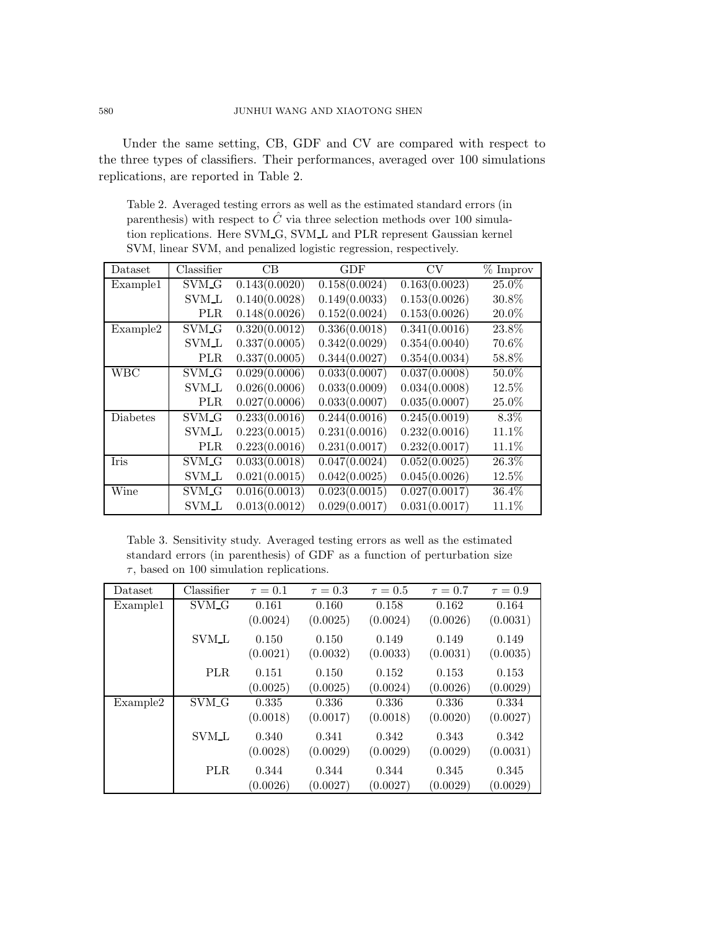Under the same setting, CB, GDF and CV are compared with respect to the three types of classifiers. Their performances, averaged over 100 simulations replications, are reported in Table 2.

Table 2. Averaged testing errors as well as the estimated standard errors (in parenthesis) with respect to  $\hat{C}$  via three selection methods over 100 simulation replications. Here SVM G, SVM L and PLR represent Gaussian kernel SVM, linear SVM, and penalized logistic regression, respectively.

| Dataset    | Classifier        | CB            | <b>GDF</b>    | <b>CV</b>     | $\overline{\%}$ Improv |
|------------|-------------------|---------------|---------------|---------------|------------------------|
| Example1   | SVM <sub>-G</sub> | 0.143(0.0020) | 0.158(0.0024) | 0.163(0.0023) | 25.0%                  |
|            | <b>SVM_L</b>      | 0.140(0.0028) | 0.149(0.0033) | 0.153(0.0026) | 30.8%                  |
|            | PLR               | 0.148(0.0026) | 0.152(0.0024) | 0.153(0.0026) | 20.0%                  |
| Example2   | SVM <sub>G</sub>  | 0.320(0.0012) | 0.336(0.0018) | 0.341(0.0016) | 23.8%                  |
|            | <b>SVM_L</b>      | 0.337(0.0005) | 0.342(0.0029) | 0.354(0.0040) | 70.6%                  |
|            | <b>PLR</b>        | 0.337(0.0005) | 0.344(0.0027) | 0.354(0.0034) | 58.8%                  |
| <b>WBC</b> | SVM_G             | 0.029(0.0006) | 0.033(0.0007) | 0.037(0.0008) | 50.0%                  |
|            | SVM_L             | 0.026(0.0006) | 0.033(0.0009) | 0.034(0.0008) | 12.5%                  |
|            | <b>PLR</b>        | 0.027(0.0006) | 0.033(0.0007) | 0.035(0.0007) | 25.0%                  |
| Diabetes   | SVM <sub>-G</sub> | 0.233(0.0016) | 0.244(0.0016) | 0.245(0.0019) | 8.3%                   |
|            | SVM_L             | 0.223(0.0015) | 0.231(0.0016) | 0.232(0.0016) | 11.1%                  |
|            | PLR               | 0.223(0.0016) | 0.231(0.0017) | 0.232(0.0017) | 11.1%                  |
| Iris       | SVM_G             | 0.033(0.0018) | 0.047(0.0024) | 0.052(0.0025) | 26.3%                  |
|            | <b>SVM_L</b>      | 0.021(0.0015) | 0.042(0.0025) | 0.045(0.0026) | 12.5%                  |
| Wine       | SVM <sub>G</sub>  | 0.016(0.0013) | 0.023(0.0015) | 0.027(0.0017) | 36.4%                  |
|            | <b>SVM_L</b>      | 0.013(0.0012) | 0.029(0.0017) | 0.031(0.0017) | 11.1%                  |

Table 3. Sensitivity study. Averaged testing errors as well as the estimated standard errors (in parenthesis) of GDF as a function of perturbation size  $\tau$ , based on 100 simulation replications.

| Dataset  | Classifier       | $\tau = 0.1$ | $\tau = 0.3$ | $\tau = 0.5$ | $\tau = 0.7$ | $\tau = 0.9$ |
|----------|------------------|--------------|--------------|--------------|--------------|--------------|
| Example1 | SVM <sub>G</sub> | 0.161        | 0.160        | 0.158        | 0.162        | 0.164        |
|          |                  | (0.0024)     | (0.0025)     | (0.0024)     | (0.0026)     | (0.0031)     |
|          | <b>SVM_L</b>     | 0.150        | 0.150        | 0.149        | 0.149        | 0.149        |
|          |                  | (0.0021)     | (0.0032)     | (0.0033)     | (0.0031)     | (0.0035)     |
|          | <b>PLR</b>       | 0.151        | 0.150        | 0.152        | 0.153        | 0.153        |
|          |                  | (0.0025)     | (0.0025)     | (0.0024)     | (0.0026)     | (0.0029)     |
| Example2 | SVM_G            | 0.335        | 0.336        | 0.336        | 0.336        | 0.334        |
|          |                  | (0.0018)     | (0.0017)     | (0.0018)     | (0.0020)     | (0.0027)     |
|          | <b>SVM_L</b>     | 0.340        | 0.341        | 0.342        | 0.343        | 0.342        |
|          |                  | (0.0028)     | (0.0029)     | (0.0029)     | (0.0029)     | (0.0031)     |
|          | <b>PLR</b>       | 0.344        | 0.344        | 0.344        | 0.345        | 0.345        |
|          |                  | (0.0026)     | (0.0027)     | (0.0027)     | (0.0029)     | (0.0029)     |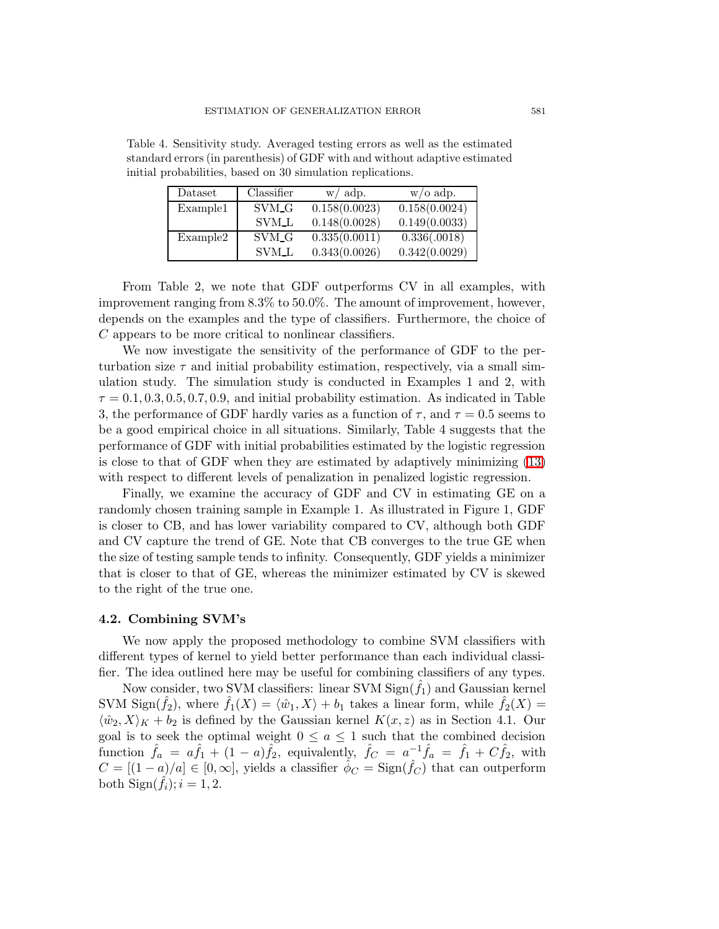| Dataset  | Classifier        | $w/$ adp.     | $w/\text{o}$ adp. |
|----------|-------------------|---------------|-------------------|
| Example1 | SVM <sub>G</sub>  | 0.158(0.0023) | 0.158(0.0024)     |
|          | <b>SVM_L</b>      | 0.148(0.0028) | 0.149(0.0033)     |
| Example2 | SVM <sub>-G</sub> | 0.335(0.0011) | 0.336(.0018)      |
|          | <b>SVM_L</b>      | 0.343(0.0026) | 0.342(0.0029)     |

Table 4. Sensitivity study. Averaged testing errors as well as the estimated standard errors(in parenthesis) of GDF with and without adaptive estimated initial probabilities, based on 30 simulation replications.

From Table 2, we note that GDF outperforms CV in all examples, with improvement ranging from 8.3% to 50.0%. The amount of improvement, however, depends on the examples and the type of classifiers. Furthermore, the choice of C appears to be more critical to nonlinear classifiers.

We now investigate the sensitivity of the performance of GDF to the perturbation size  $\tau$  and initial probability estimation, respectively, via a small simulation study. The simulation study is conducted in Examples 1 and 2, with  $\tau = 0.1, 0.3, 0.5, 0.7, 0.9$ , and initial probability estimation. As indicated in Table 3, the performance of GDF hardly varies as a function of  $\tau$ , and  $\tau = 0.5$  seems to be a good empirical choice in all situations. Similarly, Table 4 suggests that the performance of GDF with initial probabilities estimated by the logistic regression is close to that of GDF when they are estimated by adaptively minimizing [\(13\)](#page-6-1) with respect to different levels of penalization in penalized logistic regression.

Finally, we examine the accuracy of GDF and CV in estimating GE on a randomly chosen training sample in Example 1. As illustrated in Figure 1, GDF is closer to CB, and has lower variability compared to CV, although both GDF and CV capture the trend of GE. Note that CB converges to the true GE when the size of testing sample tends to infinity. Consequently, GDF yields a minimizer that is closer to that of GE, whereas the minimizer estimated by CV is skewed to the right of the true one.

#### 4.2. Combining SVM's

We now apply the proposed methodology to combine SVM classifiers with different types of kernel to yield better performance than each individual classifier. The idea outlined here may be useful for combining classifiers of any types.

Now consider, two SVM classifiers: linear SVM  $Sign(f_1)$  and Gaussian kernel SVM Sign( $\hat{f}_2$ ), where  $\hat{f}_1(X) = \langle \hat{w}_1, X \rangle + b_1$  takes a linear form, while  $\hat{f}_2(X) =$  $\langle \hat{w}_2, X \rangle_K + b_2$  is defined by the Gaussian kernel  $K(x, z)$  as in Section 4.1. Our goal is to seek the optimal weight  $0 \le a \le 1$  such that the combined decision function  $\hat{f}_a = a\hat{f}_1 + (1 - a)\hat{f}_2$ , equivalently,  $\hat{f}_C = a^{-1}\hat{f}_a = \hat{f}_1 + C\hat{f}_2$ , with  $C = [(1 - a)/a] \in [0, \infty]$ , yields a classifier  $\hat{\phi}_C = \text{Sign}(\hat{f}_C)$  that can outperform both  $Sign(f_i); i = 1, 2$ .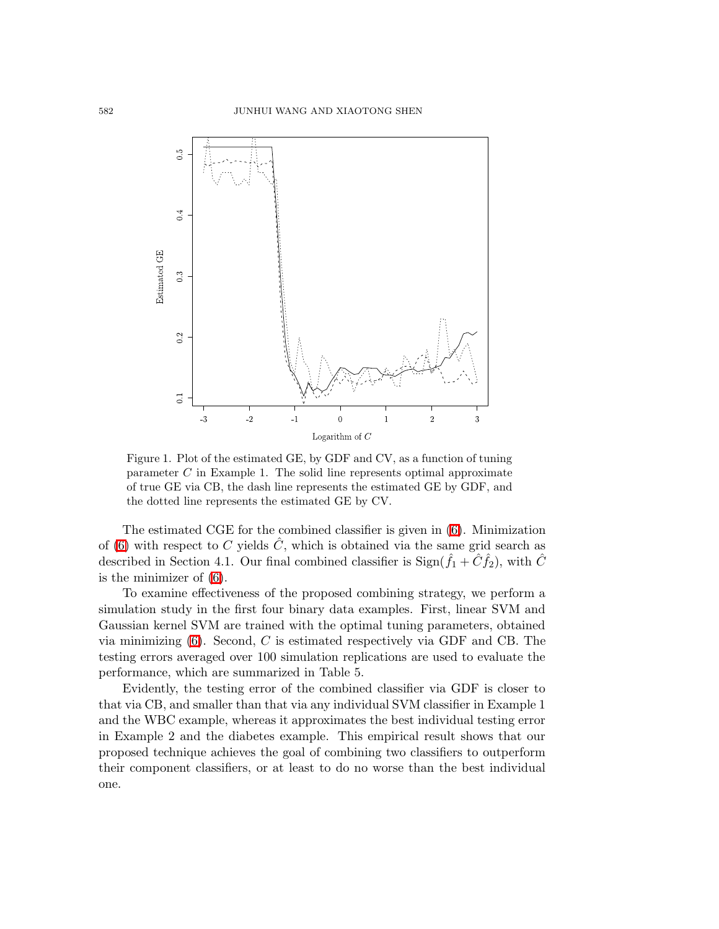

Figure 1. Plot of the estimated GE, by GDF and CV, as a function of tuning parameter  $C$  in Example 1. The solid line represents optimal approximate of true GE via CB, the dash line represents the estimated GE by GDF, and the dotted line represents the estimated GE by CV.

The estimated CGE for the combined classifier is given in [\(6\)](#page-3-0). Minimization of [\(6\)](#page-3-0) with respect to C yields  $\ddot{C}$ , which is obtained via the same grid search as described in Section 4.1. Our final combined classifier is  $\text{Sign}(\hat{f}_1 + \hat{C}\hat{f}_2)$ , with  $\hat{C}$ is the minimizer of [\(6\)](#page-3-0).

To examine effectiveness of the proposed combining strategy, we perform a simulation study in the first four binary data examples. First, linear SVM and Gaussian kernel SVM are trained with the optimal tuning parameters, obtained via minimizing  $(6)$ . Second, C is estimated respectively via GDF and CB. The testing errors averaged over 100 simulation replications are used to evaluate the performance, which are summarized in Table 5.

Evidently, the testing error of the combined classifier via GDF is closer to that via CB, and smaller than that via any individual SVM classifier in Example 1 and the WBC example, whereas it approximates the best individual testing error in Example 2 and the diabetes example. This empirical result shows that our proposed technique achieves the goal of combining two classifiers to outperform their component classifiers, or at least to do no worse than the best individual one.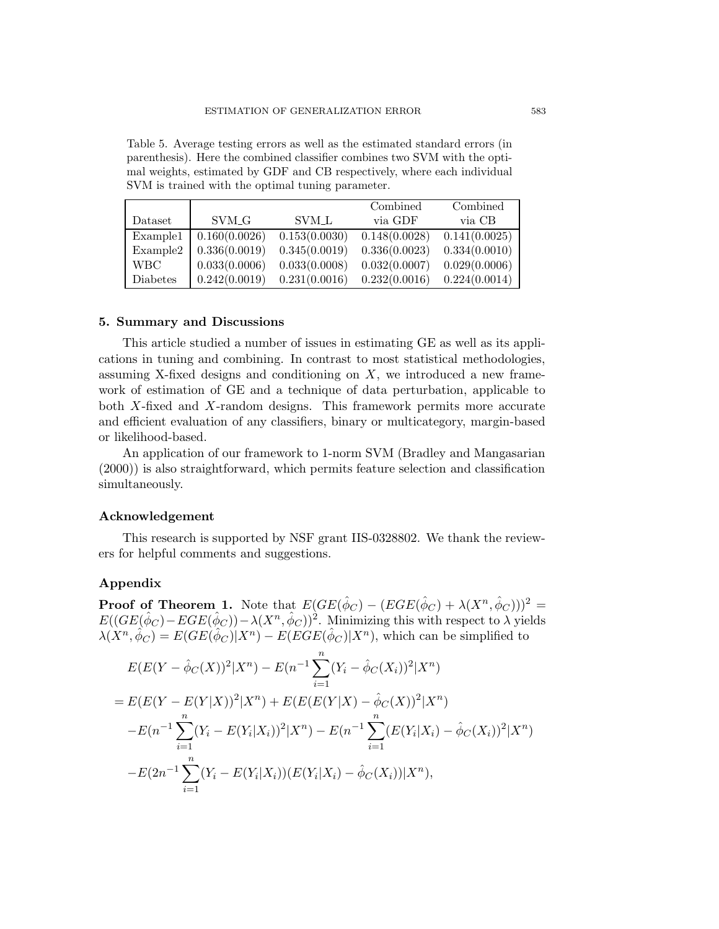Table 5. Average testing errors as well as the estimated standard errors (in parenthesis). Here the combined classifier combines two SVM with the optimal weights, estimated by GDF and CB respectively, where each individual SVM is trained with the optimal tuning parameter.

|            |               |                    | Combined      | Combined      |
|------------|---------------|--------------------|---------------|---------------|
| Dataset    | SVM G         | SVM <sub>L</sub> L | via GDF       | via CB        |
| Example1   | 0.160(0.0026) | 0.153(0.0030)      | 0.148(0.0028) | 0.141(0.0025) |
| Example2   | 0.336(0.0019) | 0.345(0.0019)      | 0.336(0.0023) | 0.334(0.0010) |
| <b>WBC</b> | 0.033(0.0006) | 0.033(0.0008)      | 0.032(0.0007) | 0.029(0.0006) |
| Diabetes   | 0.242(0.0019) | 0.231(0.0016)      | 0.232(0.0016) | 0.224(0.0014) |

# 5. Summary and Discussions

This article studied a number of issues in estimating GE as well as its applications in tuning and combining. In contrast to most statistical methodologies, assuming X-fixed designs and conditioning on  $X$ , we introduced a new framework of estimation of GE and a technique of data perturbation, applicable to both X-fixed and X-random designs. This framework permits more accurate and efficient evaluation of any classifiers, binary or multicategory, margin-based or likelihood-based.

An application of our framework to 1-norm SVM (Bradley and Mangasarian (2000)) is also straightforward, which permits feature selection and classification simultaneously.

# Acknowledgement

This research is supported by NSF grant IIS-0328802. We thank the reviewers for helpful comments and suggestions.

## Appendix

**Proof of Theorem 1.** Note that  $E(GE(\hat{\phi}_C) - (EGE(\hat{\phi}_C) + \lambda(X^n, \hat{\phi}_C)))^2$  =  $E((GE(\hat{\phi}_C)-EGE(\hat{\phi}_C))-\lambda(X^n,\hat{\phi}_C))^2$ . Minimizing this with respect to  $\lambda$  yields  $\lambda(X^n, \hat{\phi}_C) = E(GE(\hat{\phi}_C)|X^n) - E(EGE(\hat{\phi}_C)|X^n)$ , which can be simplified to

$$
E(E(Y - \hat{\phi}_C(X))^2 | X^n) - E(n^{-1} \sum_{i=1}^n (Y_i - \hat{\phi}_C(X_i))^2 | X^n)
$$
  
= 
$$
E(E(Y - E(Y|X))^2 | X^n) + E(E(E(Y|X) - \hat{\phi}_C(X))^2 | X^n)
$$
  

$$
-E(n^{-1} \sum_{i=1}^n (Y_i - E(Y_i|X_i))^2 | X^n) - E(n^{-1} \sum_{i=1}^n (E(Y_i|X_i) - \hat{\phi}_C(X_i))^2 | X^n)
$$
  

$$
-E(2n^{-1} \sum_{i=1}^n (Y_i - E(Y_i|X_i)) (E(Y_i|X_i) - \hat{\phi}_C(X_i)) | X^n),
$$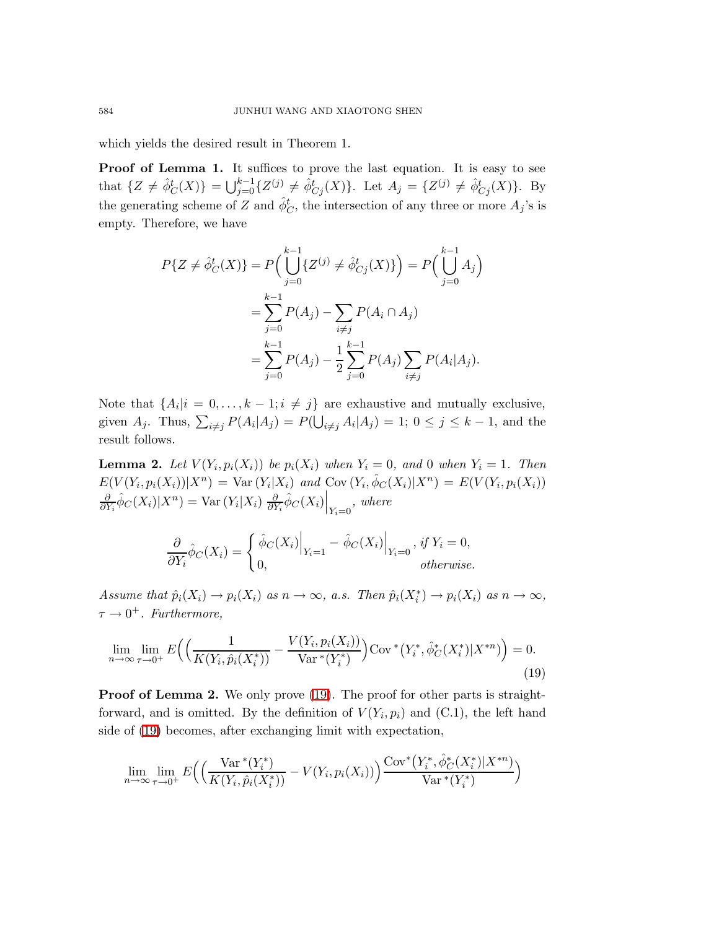which yields the desired result in Theorem 1.

Proof of Lemma 1. It suffices to prove the last equation. It is easy to see that  $\{Z \neq \hat{\phi}_C^t(X)\} = \bigcup_{j=0}^{k-1} \{Z^{(j)} \neq \hat{\phi}_{C_j}^t(X)\}.$  Let  $A_j = \{Z^{(j)} \neq \hat{\phi}_{C_j}^t(X)\}.$  By the generating scheme of Z and  $\hat{\phi}^t_C$ , the intersection of any three or more  $A_j$ 's is empty. Therefore, we have

$$
P\{Z \neq \hat{\phi}_C^t(X)\} = P\Big(\bigcup_{j=0}^{k-1} \{Z^{(j)} \neq \hat{\phi}_{Cj}^t(X)\}\Big) = P\Big(\bigcup_{j=0}^{k-1} A_j\Big)
$$
  
= 
$$
\sum_{j=0}^{k-1} P(A_j) - \sum_{i \neq j} P(A_i \cap A_j)
$$
  
= 
$$
\sum_{j=0}^{k-1} P(A_j) - \frac{1}{2} \sum_{j=0}^{k-1} P(A_j) \sum_{i \neq j} P(A_i | A_j).
$$

Note that  $\{A_i|i=0,\ldots,k-1; i \neq j\}$  are exhaustive and mutually exclusive, given  $A_j$ . Thus,  $\sum_{i \neq j} P(A_i | A_j) = P(\bigcup_{i \neq j} A_i | A_j) = 1$ ;  $0 \leq j \leq k - 1$ , and the result follows.

**Lemma 2.** Let  $V(Y_i, p_i(X_i))$  be  $p_i(X_i)$  when  $Y_i = 0$ , and 0 when  $Y_i = 1$ . Then  $E(V(Y_i, p_i(X_i))|X^n) = \text{Var}(Y_i|X_i)$  and  $\text{Cov}(Y_i, \hat{\phi}_C(X_i)|X^n) = E(V(Y_i, p_i(X_i)))$ ∂  $\frac{\partial}{\partial Y_i} \hat{\phi}_C(X_i) | X^n) = \text{Var}(Y_i | X_i) \frac{\partial}{\partial Y_i}$  $\left.\frac{\partial}{\partial Y_i}\hat{\phi}_C(X_i)\right|_{Y_i=0}$ , where

$$
\frac{\partial}{\partial Y_i} \hat{\phi}_C(X_i) = \begin{cases} \left. \hat{\phi}_C(X_i) \right|_{Y_i=1} - \left. \hat{\phi}_C(X_i) \right|_{Y_i=0}, & \text{if } Y_i = 0, \\ 0, & \text{otherwise.} \end{cases}
$$

<span id="page-15-0"></span>Assume that  $\hat{p}_i(X_i) \to p_i(X_i)$  as  $n \to \infty$ , a.s. Then  $\hat{p}_i(X_i^*) \to p_i(X_i)$  as  $n \to \infty$ ,  $\tau \rightarrow 0^+$ . Furthermore,

$$
\lim_{n \to \infty} \lim_{\tau \to 0^+} E\Big( \Big( \frac{1}{K(Y_i, \hat{p}_i(X_i^*))} - \frac{V(Y_i, p_i(X_i))}{\text{Var}^*(Y_i^*)} \Big) \text{Cov}^*(Y_i^*, \hat{\phi}_C^*(X_i^*) | X^{*n}) \Big) = 0. \tag{19}
$$

**Proof of Lemma 2.** We only prove [\(19\)](#page-15-0). The proof for other parts is straightforward, and is omitted. By the definition of  $V(Y_i, p_i)$  and (C.1), the left hand side of [\(19\)](#page-15-0) becomes, after exchanging limit with expectation,

$$
\lim_{n \to \infty} \lim_{\tau \to 0^+} E\Big( \Big( \frac{\text{Var}^*(Y_i^*)}{K(Y_i, \hat{p}_i(X_i^*))} - V(Y_i, p_i(X_i)) \Big) \frac{\text{Cov}^*(Y_i^*, \hat{\phi}_C^*(X_i^*) | X^{*n})}{\text{Var}^*(Y_i^*)} \Big)
$$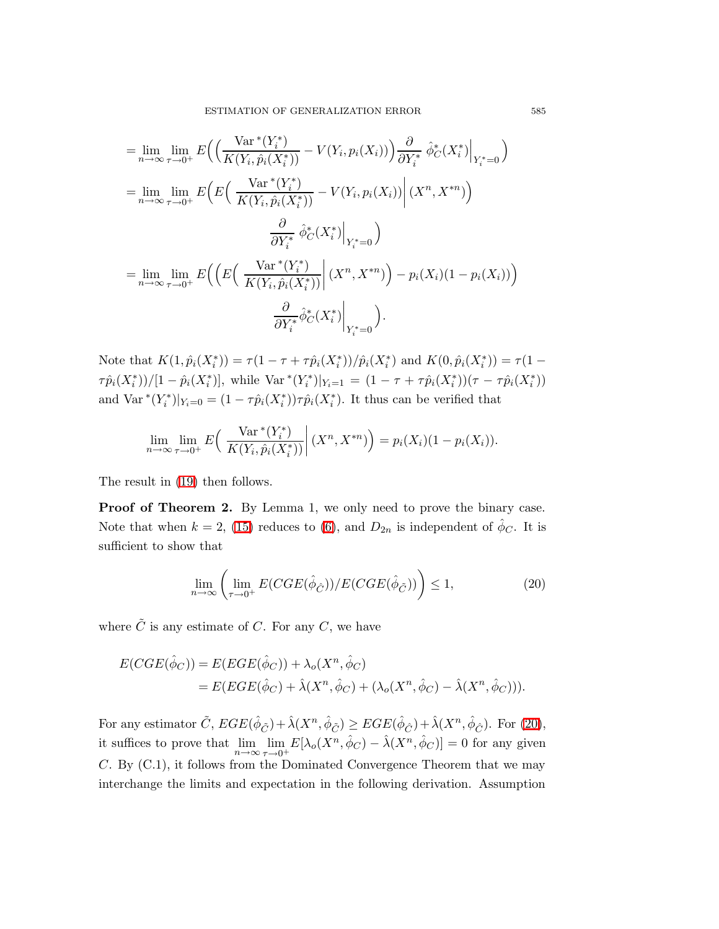$$
= \lim_{n \to \infty} \lim_{\tau \to 0^{+}} E\Big(\Big(\frac{\text{Var}^{*}(Y_{i}^{*})}{K(Y_{i}, \hat{p}_{i}(X_{i}^{*}))} - V(Y_{i}, p_{i}(X_{i}))\Big) \frac{\partial}{\partial Y_{i}^{*}} \hat{\phi}_{C}^{*}(X_{i}^{*})\Big|_{Y_{i}^{*}=0}\Big)
$$
  
\n
$$
= \lim_{n \to \infty} \lim_{\tau \to 0^{+}} E\Big(E\Big(\frac{\text{Var}^{*}(Y_{i}^{*})}{K(Y_{i}, \hat{p}_{i}(X_{i}^{*}))} - V(Y_{i}, p_{i}(X_{i}))\Big|(X^{n}, X^{*n})\Big)
$$
  
\n
$$
\frac{\partial}{\partial Y_{i}^{*}} \hat{\phi}_{C}^{*}(X_{i}^{*})\Big|_{Y_{i}^{*}=0}\Big)
$$
  
\n
$$
= \lim_{n \to \infty} \lim_{\tau \to 0^{+}} E\Big(\Big(E\Big(\frac{\text{Var}^{*}(Y_{i}^{*})}{K(Y_{i}, \hat{p}_{i}(X_{i}^{*}))}\Big|(X^{n}, X^{*n})\Big) - p_{i}(X_{i})(1 - p_{i}(X_{i}))\Big)
$$
  
\n
$$
\frac{\partial}{\partial Y_{i}^{*}} \hat{\phi}_{C}^{*}(X_{i}^{*})\Big|_{Y_{i}^{*}=0}\Big).
$$

Note that  $K(1, \hat{p}_i(X_i^*)) = \tau(1 - \tau + \tau \hat{p}_i(X_i^*))/\hat{p}_i(X_i^*)$  and  $K(0, \hat{p}_i(X_i^*)) = \tau(1 - \tau \hat{p}_i(X_i^*))$  $\tau \hat{p}_i(X_i^*)/[(1-\hat{p}_i(X_i^*)],$  while  $\text{Var}^*(Y_i^*)|_{Y_i=1} = (1 - \tau + \tau \hat{p}_i(X_i^*))(\tau - \tau \hat{p}_i(X_i^*))$ and  $\text{Var}^*(Y_i^*)|_{Y_i=0} = (1 - \tau \hat{p}_i(X_i^*)) \tau \hat{p}_i(X_i^*)$ . It thus can be verified that

$$
\lim_{n \to \infty} \lim_{\tau \to 0^+} E\left( \frac{\text{Var}^*(Y_i^*)}{K(Y_i, \hat{p}_i(X_i^*))} \middle| (X^n, X^{*n}) \right) = p_i(X_i)(1 - p_i(X_i)).
$$

The result in [\(19\)](#page-15-0) then follows.

<span id="page-16-0"></span>**Proof of Theorem 2.** By Lemma 1, we only need to prove the binary case. Note that when  $k = 2$ , [\(15\)](#page-7-0) reduces to [\(6\)](#page-3-0), and  $D_{2n}$  is independent of  $\hat{\phi}_C$ . It is sufficient to show that

$$
\lim_{n \to \infty} \left( \lim_{\tau \to 0^+} E(CGE(\hat{\phi}_{\hat{C}}))/E(CGE(\hat{\phi}_{\tilde{C}})) \right) \le 1,
$$
\n(20)

where  $\tilde{C}$  is any estimate of C. For any C, we have

$$
E(CGE(\hat{\phi}_C)) = E(EGE(\hat{\phi}_C)) + \lambda_o(X^n, \hat{\phi}_C)
$$
  
= 
$$
E(EGE(\hat{\phi}_C) + \hat{\lambda}(X^n, \hat{\phi}_C) + (\lambda_o(X^n, \hat{\phi}_C) - \hat{\lambda}(X^n, \hat{\phi}_C))).
$$

For any estimator  $\tilde{C}$ ,  $EGE(\hat{\phi}_{\tilde{C}}) + \hat{\lambda}(X^n, \hat{\phi}_{\tilde{C}}) \geq EGE(\hat{\phi}_{\hat{C}}) + \hat{\lambda}(X^n, \hat{\phi}_{\hat{C}})$ . For [\(20\)](#page-16-0), it suffices to prove that  $\lim_{n\to\infty}\lim_{\tau\to 0^+}E[\lambda_o(X^n,\hat{\phi}_C)-\hat{\lambda}(X^n,\hat{\phi}_C)]=0$  for any given C. By (C.1), it follows from the Dominated Convergence Theorem that we may interchange the limits and expectation in the following derivation. Assumption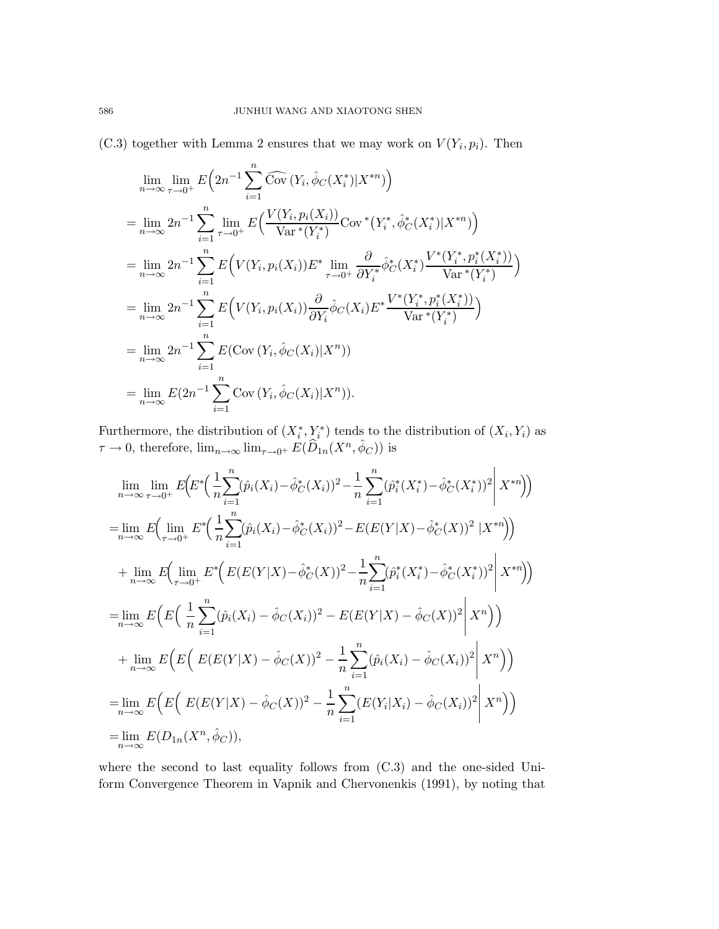$(C.3)$  together with Lemma 2 ensures that we may work on  $V(Y_i, p_i)$ . Then

$$
\lim_{n \to \infty} \lim_{\tau \to 0^{+}} E\left(2n^{-1} \sum_{i=1}^{n} \widehat{\text{Cov}}\left(Y_{i}, \hat{\phi}_{C}(X_{i}^{*}) | X^{*n}\right)\right)
$$
\n
$$
= \lim_{n \to \infty} 2n^{-1} \sum_{i=1}^{n} \lim_{\tau \to 0^{+}} E\left(\frac{V(Y_{i}, p_{i}(X_{i}))}{\text{Var}^{*}(Y_{i}^{*})} \text{Cov}^{*}\left(Y_{i}^{*}, \hat{\phi}_{C}^{*}(X_{i}^{*}) | X^{*n}\right)\right)
$$
\n
$$
= \lim_{n \to \infty} 2n^{-1} \sum_{i=1}^{n} E\left(V(Y_{i}, p_{i}(X_{i})) E^{*} \lim_{\tau \to 0^{+}} \frac{\partial}{\partial Y_{i}^{*}} \hat{\phi}_{C}^{*}(X_{i}^{*}) \frac{V^{*}(Y_{i}^{*}, p_{i}^{*}(X_{i}^{*}))}{\text{Var}^{*}(Y_{i}^{*})}\right)
$$
\n
$$
= \lim_{n \to \infty} 2n^{-1} \sum_{i=1}^{n} E\left(V(Y_{i}, p_{i}(X_{i})) \frac{\partial}{\partial Y_{i}} \hat{\phi}_{C}(X_{i}) E^{*} \frac{V^{*}(Y_{i}^{*}, p_{i}^{*}(X_{i}^{*}))}{\text{Var}^{*}(Y_{i}^{*})}\right)
$$
\n
$$
= \lim_{n \to \infty} 2n^{-1} \sum_{i=1}^{n} E(\text{Cov}(Y_{i}, \hat{\phi}_{C}(X_{i}) | X^{n}))
$$
\n
$$
= \lim_{n \to \infty} E(2n^{-1} \sum_{i=1}^{n} \text{Cov}(Y_{i}, \hat{\phi}_{C}(X_{i}) | X^{n})).
$$

Furthermore, the distribution of  $(X_i^*, Y_i^*)$  tends to the distribution of  $(X_i, Y_i)$  as  $\tau \to 0$ , therefore,  $\lim_{n \to \infty} \lim_{\tau \to 0^+} E(\widehat{D}_{1n}(X^n, \widehat{\phi}_C))$  is

$$
\lim_{n \to \infty} \lim_{\tau \to 0^{+}} E\Big(E^*\Big(\frac{1}{n}\sum_{i=1}^n (\hat{p}_i(X_i) - \hat{\phi}_C^*(X_i))^2 - \frac{1}{n}\sum_{i=1}^n (\hat{p}_i^*(X_i^*) - \hat{\phi}_C^*(X_i^*))^2 \Big| X^{*n} \Big) \Big)
$$
\n
$$
= \lim_{n \to \infty} E\Big(\lim_{\tau \to 0^{+}} E^*\Big(\frac{1}{n}\sum_{i=1}^n (\hat{p}_i(X_i) - \hat{\phi}_C^*(X_i))^2 - E(E(Y|X) - \hat{\phi}_C^*(X))^2 \Big| X^{*n} \Big) \Big)
$$
\n
$$
+ \lim_{n \to \infty} E\Big(\lim_{\tau \to 0^{+}} E^*\Big(E(E(Y|X) - \hat{\phi}_C^*(X))^2 - \frac{1}{n}\sum_{i=1}^n (\hat{p}_i^*(X_i^*) - \hat{\phi}_C^*(X_i^*))^2 \Big| X^{*n} \Big) \Big)
$$
\n
$$
= \lim_{n \to \infty} E\Big(E\Big(\frac{1}{n}\sum_{i=1}^n (\hat{p}_i(X_i) - \hat{\phi}_C(X_i))^2 - E(E(Y|X) - \hat{\phi}_C(X))^2 \Big| X^n \Big) \Big)
$$
\n
$$
+ \lim_{n \to \infty} E\Big(E\Big(E(E(Y|X) - \hat{\phi}_C(X))^2 - \frac{1}{n}\sum_{i=1}^n (\hat{p}_i(X_i) - \hat{\phi}_C(X_i))^2 \Big| X^n \Big) \Big)
$$
\n
$$
= \lim_{n \to \infty} E\Big(E\Big(E(E(Y|X) - \hat{\phi}_C(X))^2 - \frac{1}{n}\sum_{i=1}^n (E(Y_i|X_i) - \hat{\phi}_C(X_i))^2 \Big| X^n \Big) \Big)
$$
\n
$$
= \lim_{n \to \infty} E(D_{1n}(X^n, \hat{\phi}_C)),
$$

where the second to last equality follows from (C.3) and the one-sided Uniform Convergence Theorem in Vapnik and Chervonenkis (1991), by noting that

$$
586\,
$$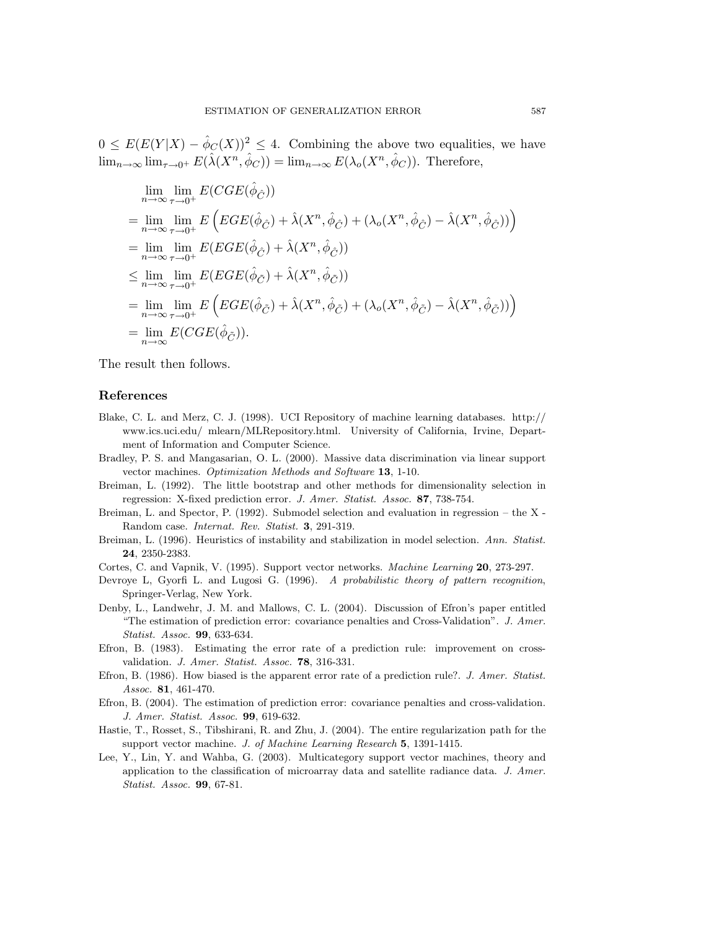$0 \leq E(E(Y|X) - \hat{\phi}_C(X))^2 \leq 4$ . Combining the above two equalities, we have  $\lim_{n\to\infty} \lim_{\tau\to 0^+} E(\hat{\lambda}(X^n, \hat{\phi}_C)) = \lim_{n\to\infty} E(\lambda_o(X^n, \hat{\phi}_C))$ . Therefore,

$$
\lim_{n \to \infty} \lim_{\tau \to 0^+} E(CGE(\hat{\phi}_{\hat{C}}))
$$
\n
$$
= \lim_{n \to \infty} \lim_{\tau \to 0^+} E\left(EGE(\hat{\phi}_{\hat{C}}) + \hat{\lambda}(X^n, \hat{\phi}_{\hat{C}}) + (\lambda_o(X^n, \hat{\phi}_{\hat{C}}) - \hat{\lambda}(X^n, \hat{\phi}_{\hat{C}}))\right)
$$
\n
$$
= \lim_{n \to \infty} \lim_{\tau \to 0^+} E(EGE(\hat{\phi}_{\hat{C}}) + \hat{\lambda}(X^n, \hat{\phi}_{\hat{C}}))
$$
\n
$$
\leq \lim_{n \to \infty} \lim_{\tau \to 0^+} E(EGE(\hat{\phi}_{\hat{C}}) + \hat{\lambda}(X^n, \hat{\phi}_{\hat{C}}))
$$
\n
$$
= \lim_{n \to \infty} \lim_{\tau \to 0^+} E\left(EGE(\hat{\phi}_{\hat{C}}) + \hat{\lambda}(X^n, \hat{\phi}_{\hat{C}}) + (\lambda_o(X^n, \hat{\phi}_{\hat{C}}) - \hat{\lambda}(X^n, \hat{\phi}_{\hat{C}}))\right)
$$
\n
$$
= \lim_{n \to \infty} E(CGE(\hat{\phi}_{\hat{C}})).
$$

The result then follows.

#### References

- Blake, C. L. and Merz, C. J. (1998). UCI Repository of machine learning databases. http:// www.ics.uci.edu/ mlearn/MLRepository.html. University of California, Irvine, Department of Information and Computer Science.
- Bradley, P. S. and Mangasarian, O. L. (2000). Massive data discrimination via linear support vector machines. Optimization Methods and Software 13, 1-10.
- Breiman, L. (1992). The little bootstrap and other methods for dimensionality selection in regression: X-fixed prediction error. J. Amer. Statist. Assoc. 87, 738-754.
- Breiman, L. and Spector, P. (1992). Submodel selection and evaluation in regression the X Random case. Internat. Rev. Statist. 3, 291-319.
- Breiman, L. (1996). Heuristics of instability and stabilization in model selection. Ann. Statist. 24, 2350-2383.
- Cortes, C. and Vapnik, V. (1995). Support vector networks. Machine Learning 20, 273-297.
- Devroye L, Gyorfi L. and Lugosi G. (1996). A probabilistic theory of pattern recognition, Springer-Verlag, New York.
- Denby, L., Landwehr, J. M. and Mallows, C. L. (2004). Discussion of Efron's paper entitled "The estimation of prediction error: covariance penalties and Cross-Validation". J. Amer. Statist. Assoc. 99, 633-634.
- Efron, B. (1983). Estimating the error rate of a prediction rule: improvement on crossvalidation. J. Amer. Statist. Assoc. 78, 316-331.
- Efron, B. (1986). How biased is the apparent error rate of a prediction rule?. J. Amer. Statist. Assoc. 81, 461-470.
- Efron, B. (2004). The estimation of prediction error: covariance penalties and cross-validation. J. Amer. Statist. Assoc. 99, 619-632.
- Hastie, T., Rosset, S., Tibshirani, R. and Zhu, J. (2004). The entire regularization path for the support vector machine. J. of Machine Learning Research 5, 1391-1415.
- Lee, Y., Lin, Y. and Wahba, G. (2003). Multicategory support vector machines, theory and application to the classification of microarray data and satellite radiance data. J. Amer. Statist. Assoc. 99, 67-81.